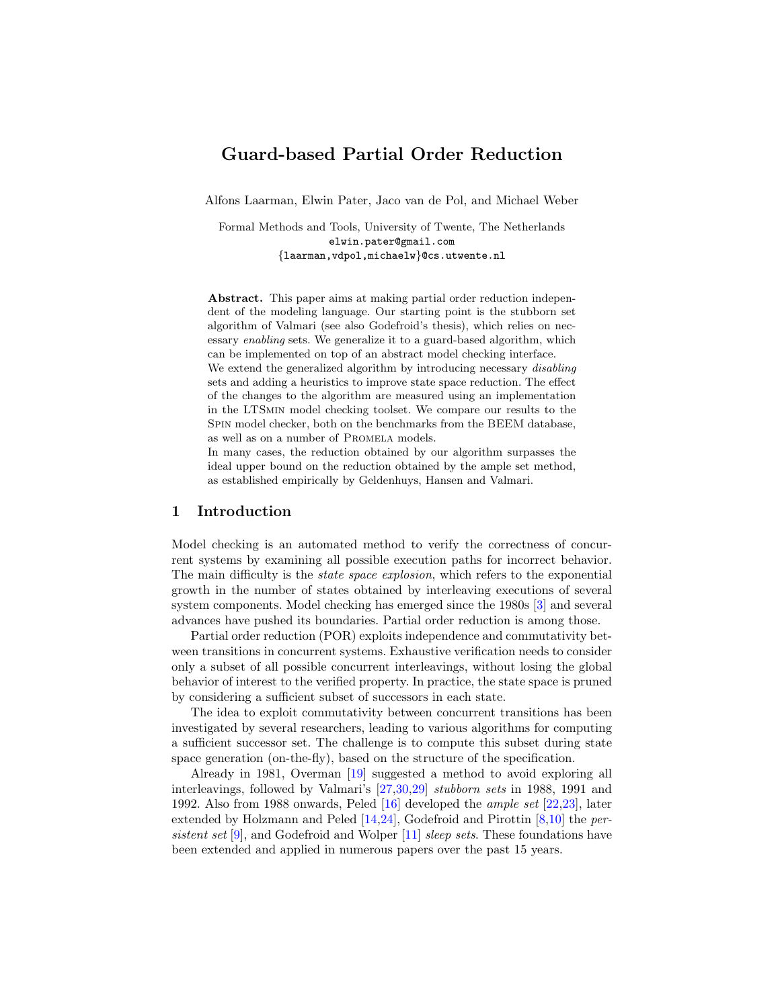# Guard-based Partial Order Reduction

Alfons Laarman, Elwin Pater, Jaco van de Pol, and Michael Weber

Formal Methods and Tools, University of Twente, The Netherlands elwin.pater@gmail.com {laarman,vdpol,michaelw}@cs.utwente.nl

Abstract. This paper aims at making partial order reduction independent of the modeling language. Our starting point is the stubborn set algorithm of Valmari (see also Godefroid's thesis), which relies on necessary enabling sets. We generalize it to a guard-based algorithm, which can be implemented on top of an abstract model checking interface. We extend the generalized algorithm by introducing necessary *disabling* 

sets and adding a heuristics to improve state space reduction. The effect of the changes to the algorithm are measured using an implementation in the LTSmin model checking toolset. We compare our results to the Spin model checker, both on the benchmarks from the BEEM database, as well as on a number of Promela models.

In many cases, the reduction obtained by our algorithm surpasses the ideal upper bound on the reduction obtained by the ample set method, as established empirically by Geldenhuys, Hansen and Valmari.

# 1 Introduction

Model checking is an automated method to verify the correctness of concurrent systems by examining all possible execution paths for incorrect behavior. The main difficulty is the *state space explosion*, which refers to the exponential growth in the number of states obtained by interleaving executions of several system components. Model checking has emerged since the 1980s [\[3\]](#page-16-0) and several advances have pushed its boundaries. Partial order reduction is among those.

Partial order reduction (POR) exploits independence and commutativity between transitions in concurrent systems. Exhaustive verification needs to consider only a subset of all possible concurrent interleavings, without losing the global behavior of interest to the verified property. In practice, the state space is pruned by considering a sufficient subset of successors in each state.

The idea to exploit commutativity between concurrent transitions has been investigated by several researchers, leading to various algorithms for computing a sufficient successor set. The challenge is to compute this subset during state space generation (on-the-fly), based on the structure of the specification.

Already in 1981, Overman [\[19\]](#page-17-0) suggested a method to avoid exploring all interleavings, followed by Valmari's [\[27,](#page-17-1)[30,](#page-17-2)[29\]](#page-17-3) stubborn sets in 1988, 1991 and 1992. Also from 1988 onwards, Peled [\[16\]](#page-17-4) developed the ample set [\[22,](#page-17-5)[23\]](#page-17-6), later extended by Holzmann and Peled [\[14,](#page-17-7)[24\]](#page-17-8), Godefroid and Pirottin [\[8,](#page-17-9)[10\]](#page-17-10) the per-sistent set [\[9\]](#page-17-11), and Godefroid and Wolper [\[11\]](#page-17-12) sleep sets. These foundations have been extended and applied in numerous papers over the past 15 years.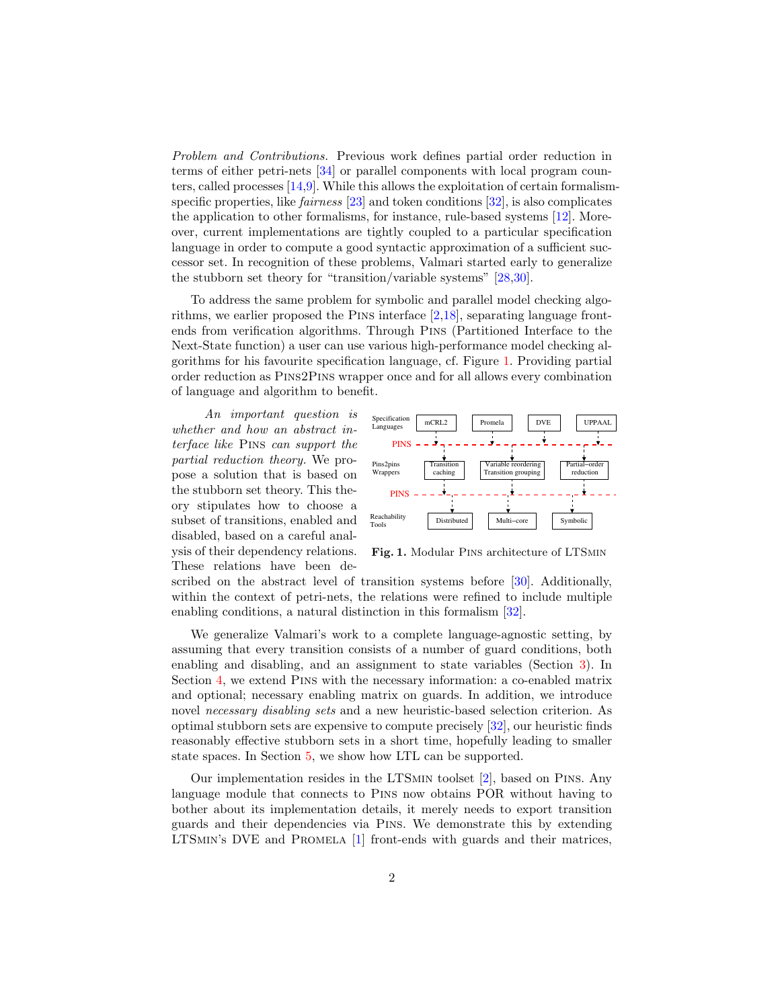Problem and Contributions. Previous work defines partial order reduction in terms of either petri-nets [\[34\]](#page-18-0) or parallel components with local program counters, called processes [\[14,](#page-17-7)[9\]](#page-17-11). While this allows the exploitation of certain formalismspecific properties, like *fairness* [\[23\]](#page-17-6) and token conditions [\[32\]](#page-18-1), is also complicates the application to other formalisms, for instance, rule-based systems [\[12\]](#page-17-13). Moreover, current implementations are tightly coupled to a particular specification language in order to compute a good syntactic approximation of a sufficient successor set. In recognition of these problems, Valmari started early to generalize the stubborn set theory for "transition/variable systems" [\[28,](#page-17-14)[30\]](#page-17-2).

To address the same problem for symbolic and parallel model checking algorithms, we earlier proposed the Pins interface [\[2](#page-16-1)[,18\]](#page-17-15), separating language frontends from verification algorithms. Through Pins (Partitioned Interface to the Next-State function) a user can use various high-performance model checking algorithms for his favourite specification language, cf. Figure [1.](#page-1-0) Providing partial order reduction as Pins2Pins wrapper once and for all allows every combination of language and algorithm to benefit.

An important question is whether and how an abstract interface like Pins can support the partial reduction theory. We propose a solution that is based on the stubborn set theory. This theory stipulates how to choose a subset of transitions, enabled and disabled, based on a careful analysis of their dependency relations. These relations have been de-



<span id="page-1-0"></span>Fig. 1. Modular Pins architecture of LTSmin

scribed on the abstract level of transition systems before [\[30\]](#page-17-2). Additionally, within the context of petri-nets, the relations were refined to include multiple enabling conditions, a natural distinction in this formalism [\[32\]](#page-18-1).

We generalize Valmari's work to a complete language-agnostic setting, by assuming that every transition consists of a number of guard conditions, both enabling and disabling, and an assignment to state variables (Section [3\)](#page-3-0). In Section [4,](#page-6-0) we extend Pins with the necessary information: a co-enabled matrix and optional; necessary enabling matrix on guards. In addition, we introduce novel necessary disabling sets and a new heuristic-based selection criterion. As optimal stubborn sets are expensive to compute precisely [\[32\]](#page-18-1), our heuristic finds reasonably effective stubborn sets in a short time, hopefully leading to smaller state spaces. In Section [5,](#page-10-0) we show how LTL can be supported.

Our implementation resides in the LTSmin toolset [\[2\]](#page-16-1), based on Pins. Any language module that connects to Pins now obtains POR without having to bother about its implementation details, it merely needs to export transition guards and their dependencies via Pins. We demonstrate this by extending LTSmin's DVE and Promela [\[1\]](#page-16-2) front-ends with guards and their matrices,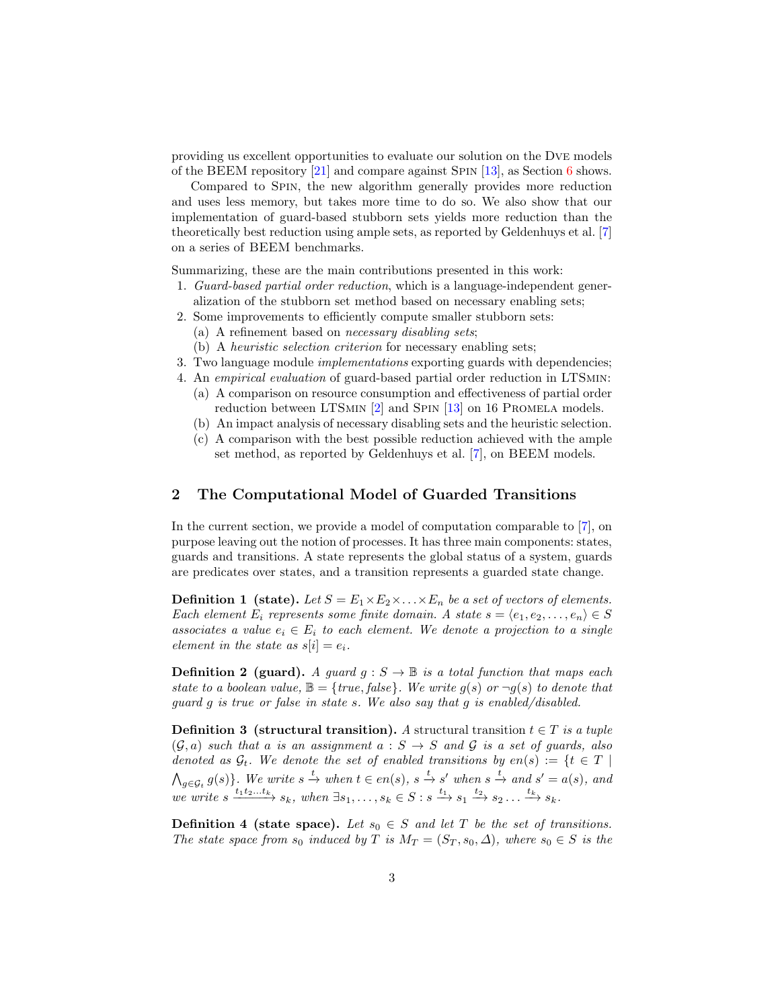providing us excellent opportunities to evaluate our solution on the Dve models of the BEEM repository [\[21\]](#page-17-16) and compare against Spin [\[13\]](#page-17-17), as Section [6](#page-12-0) shows.

Compared to Spin, the new algorithm generally provides more reduction and uses less memory, but takes more time to do so. We also show that our implementation of guard-based stubborn sets yields more reduction than the theoretically best reduction using ample sets, as reported by Geldenhuys et al. [\[7\]](#page-17-18) on a series of BEEM benchmarks.

Summarizing, these are the main contributions presented in this work:

- 1. Guard-based partial order reduction, which is a language-independent generalization of the stubborn set method based on necessary enabling sets;
- 2. Some improvements to efficiently compute smaller stubborn sets:
	- (a) A refinement based on necessary disabling sets;
	- (b) A heuristic selection criterion for necessary enabling sets;
- 3. Two language module *implementations* exporting guards with dependencies;
- 4. An *empirical evaluation* of guard-based partial order reduction in LTSMIN: (a) A comparison on resource consumption and effectiveness of partial order reduction between LTSMIN [\[2\]](#page-16-1) and SPIN [\[13\]](#page-17-17) on 16 PROMELA models.
	- (b) An impact analysis of necessary disabling sets and the heuristic selection.
	- (c) A comparison with the best possible reduction achieved with the ample set method, as reported by Geldenhuys et al. [\[7\]](#page-17-18), on BEEM models.

### 2 The Computational Model of Guarded Transitions

In the current section, we provide a model of computation comparable to [\[7\]](#page-17-18), on purpose leaving out the notion of processes. It has three main components: states, guards and transitions. A state represents the global status of a system, guards are predicates over states, and a transition represents a guarded state change.

**Definition 1** (state). Let  $S = E_1 \times E_2 \times \ldots \times E_n$  be a set of vectors of elements. Each element  $E_i$  represents some finite domain. A state  $s = \langle e_1, e_2, \ldots, e_n \rangle \in S$ associates a value  $e_i \in E_i$  to each element. We denote a projection to a single element in the state as  $s[i] = e_i$ .

<span id="page-2-2"></span>**Definition 2 (guard).** A guard  $g : S \to \mathbb{B}$  is a total function that maps each state to a boolean value,  $\mathbb{B} = \{true, false\}$ . We write  $g(s)$  or  $\neg g(s)$  to denote that guard g is true or false in state s. We also say that g is enabled/disabled.

<span id="page-2-0"></span>**Definition 3** (structural transition). A structural transition  $t \in T$  is a tuple  $(G, a)$  such that a is an assignment  $a : S \rightarrow S$  and G is a set of guards, also denoted as  $\mathcal{G}_t$ . We denote the set of enabled transitions by  $en(s) := \{t \in T \mid$  $\bigwedge_{g \in \mathcal{G}_t} g(s) \}$ . We write  $s \stackrel{t}{\to}$  when  $t \in en(s)$ ,  $s \stackrel{t}{\to} s'$  when  $s \stackrel{t}{\to}$  and  $s' = a(s)$ , and we write  $s \xrightarrow{t_1 t_2...t_k} s_k$ , when  $\exists s_1,...,s_k \in S : s \xrightarrow{t_1} s_1 \xrightarrow{t_2} s_2 ... \xrightarrow{t_k} s_k$ .

<span id="page-2-1"></span>**Definition 4 (state space).** Let  $s_0 \in S$  and let T be the set of transitions. The state space from  $s_0$  induced by T is  $M_T = (S_T, s_0, \Delta)$ , where  $s_0 \in S$  is the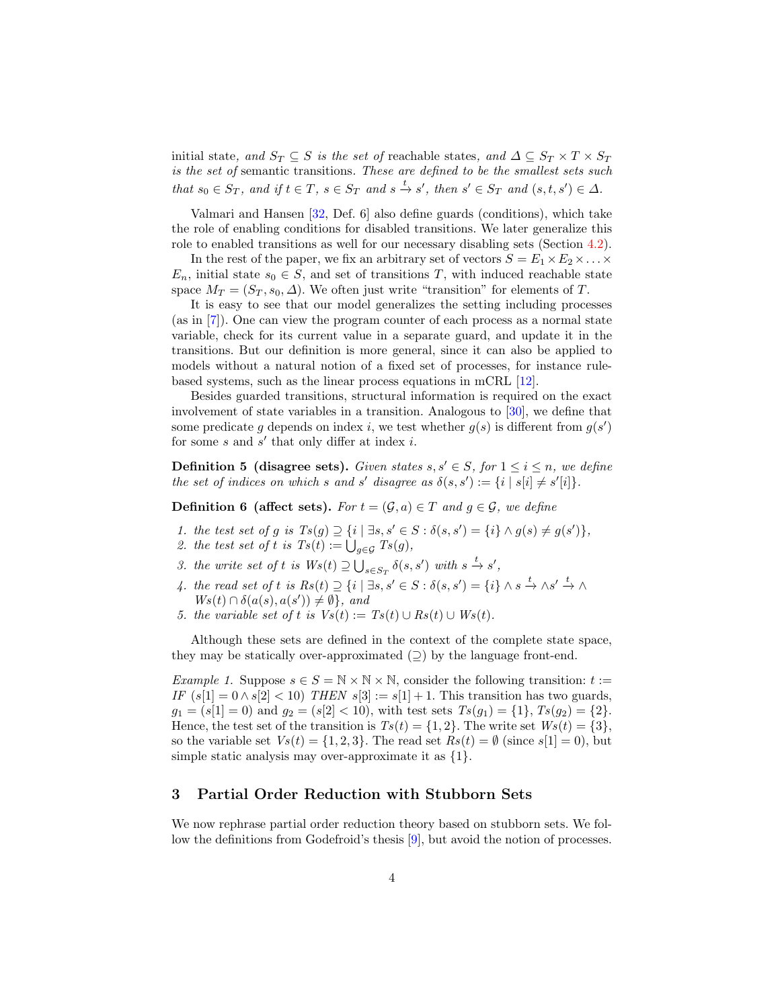initial state, and  $S_T \subseteq S$  is the set of reachable states, and  $\Delta \subseteq S_T \times T \times S_T$ is the set of semantic transitions. These are defined to be the smallest sets such that  $s_0 \in S_T$ , and if  $t \in T$ ,  $s \in S_T$  and  $s \stackrel{t}{\rightarrow} s'$ , then  $s' \in S_T$  and  $(s, t, s') \in \Delta$ .

Valmari and Hansen [\[32,](#page-18-1) Def. 6] also define guards (conditions), which take the role of enabling conditions for disabled transitions. We later generalize this role to enabled transitions as well for our necessary disabling sets (Section [4.2\)](#page-8-0).

In the rest of the paper, we fix an arbitrary set of vectors  $S = E_1 \times E_2 \times \ldots \times$  $E_n$ , initial state  $s_0 \in S$ , and set of transitions T, with induced reachable state space  $M_T = (S_T, s_0, \Delta)$ . We often just write "transition" for elements of T.

It is easy to see that our model generalizes the setting including processes (as in [\[7\]](#page-17-18)). One can view the program counter of each process as a normal state variable, check for its current value in a separate guard, and update it in the transitions. But our definition is more general, since it can also be applied to models without a natural notion of a fixed set of processes, for instance rulebased systems, such as the linear process equations in mCRL [\[12\]](#page-17-13).

Besides guarded transitions, structural information is required on the exact involvement of state variables in a transition. Analogous to [\[30\]](#page-17-2), we define that some predicate g depends on index i, we test whether  $g(s)$  is different from  $g(s')$ for some  $s$  and  $s'$  that only differ at index  $i$ .

**Definition 5 (disagree sets).** Given states s, s'  $\in$  S, for  $1 \le i \le n$ , we define the set of indices on which s and s' disagree as  $\delta(s, s') := \{i \mid s[i] \neq s'[i]\}.$ 

**Definition 6 (affect sets).** For  $t = (\mathcal{G}, a) \in T$  and  $q \in \mathcal{G}$ , we define

- 1. the test set of g is  $Ts(g) \supseteq {i | \exists s, s' \in S : \delta(s, s') = {i} \land g(s) \neq g(s')}$ ,
- 2. the test set of t is  $Ts(t) := \bigcup_{g \in \mathcal{G}} Ts(g)$ ,
- 3. the write set of t is  $Ws(t) \supseteq \bigcup_{s \in S_T} \delta(s, s')$  with  $s \stackrel{t}{\rightarrow} s'$ ,
- 4. the read set of t is  $Rs(t) \supseteq \{i \mid \exists s, s' \in S : \delta(s, s') = \{i\} \wedge s \stackrel{t}{\to} \wedge s' \stackrel{t}{\to} \wedge$  $W_s(t) \cap \delta(a(s), a(s')) \neq \emptyset$ , and
- 5. the variable set of t is  $Vs(t) := Ts(t) \cup Rs(t) \cup Ws(t)$ .

Although these sets are defined in the context of the complete state space, they may be statically over-approximated  $(2)$  by the language front-end.

Example 1. Suppose  $s \in S = \mathbb{N} \times \mathbb{N} \times \mathbb{N}$ , consider the following transition:  $t :=$ IF  $(s[1] = 0 \wedge s[2] < 10$ ) THEN  $s[3] := s[1] + 1$ . This transition has two guards,  $g_1 = (s[1] = 0)$  and  $g_2 = (s[2] < 10)$ , with test sets  $Ts(g_1) = \{1\}$ ,  $Ts(g_2) = \{2\}$ . Hence, the test set of the transition is  $Ts(t) = \{1, 2\}$ . The write set  $Ws(t) = \{3\}$ , so the variable set  $V_s(t) = \{1, 2, 3\}$ . The read set  $Rs(t) = \emptyset$  (since  $s[1] = 0$ ), but simple static analysis may over-approximate it as  $\{1\}.$ 

### <span id="page-3-0"></span>3 Partial Order Reduction with Stubborn Sets

We now rephrase partial order reduction theory based on stubborn sets. We follow the definitions from Godefroid's thesis [\[9\]](#page-17-11), but avoid the notion of processes.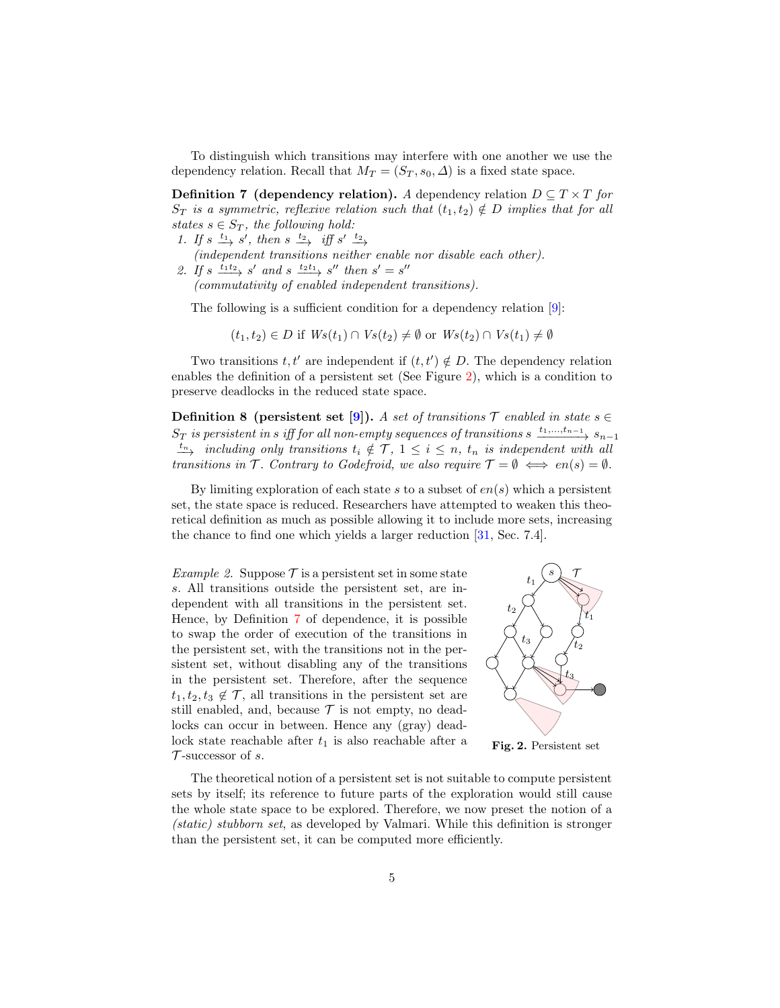To distinguish which transitions may interfere with one another we use the dependency relation. Recall that  $M_T = (S_T, s_0, \Delta)$  is a fixed state space.

**Definition 7** (dependency relation). A dependency relation  $D \subseteq T \times T$  for  $S_T$  is a symmetric, reflexive relation such that  $(t_1, t_2) \notin D$  implies that for all states  $s \in S_T$ , the following hold:

- 1. If  $s \stackrel{t_1}{\longrightarrow} s'$ , then  $s \stackrel{t_2}{\longrightarrow}$  iff  $s' \stackrel{t_2}{\longrightarrow}$
- (independent transitions neither enable nor disable each other). 2. If  $s \xrightarrow{t_1 t_2} s'$  and  $s \xrightarrow{t_2 t_1} s''$  then  $s' = s''$
- (commutativity of enabled independent transitions).

The following is a sufficient condition for a dependency relation [\[9\]](#page-17-11):

<span id="page-4-1"></span>
$$
(t_1, t_2) \in D \text{ if } Ws(t_1) \cap Vs(t_2) \neq \emptyset \text{ or } Ws(t_2) \cap Vs(t_1) \neq \emptyset
$$

Two transitions  $t, t'$  are independent if  $(t, t') \notin D$ . The dependency relation enables the definition of a persistent set (See Figure [2\)](#page-4-0), which is a condition to preserve deadlocks in the reduced state space.

**Definition 8** (persistent set [\[9\]](#page-17-11)). A set of transitions  $\mathcal{T}$  enabled in state  $s \in \mathcal{T}$  $S_T$  is persistent in s iff for all non-empty sequences of transitions s  $\xrightarrow{t_1,...,t_{n-1}} s_{n-1}$  $\frac{t_n}{t_n}$  including only transitions  $t_i \notin \mathcal{T}$ ,  $1 \leq i \leq n$ ,  $t_n$  is independent with all transitions in  $\mathcal T$ . Contrary to Godefroid, we also require  $\mathcal T = \emptyset \iff en(s) = \emptyset$ .

By limiting exploration of each state s to a subset of  $en(s)$  which a persistent set, the state space is reduced. Researchers have attempted to weaken this theoretical definition as much as possible allowing it to include more sets, increasing the chance to find one which yields a larger reduction [\[31,](#page-18-2) Sec. 7.4].

*Example 2.* Suppose  $\mathcal{T}$  is a persistent set in some state s. All transitions outside the persistent set, are independent with all transitions in the persistent set. Hence, by Definition [7](#page-4-1) of dependence, it is possible to swap the order of execution of the transitions in the persistent set, with the transitions not in the persistent set, without disabling any of the transitions in the persistent set. Therefore, after the sequence  $t_1, t_2, t_3 \notin \mathcal{T}$ , all transitions in the persistent set are still enabled, and, because  $\mathcal T$  is not empty, no deadlocks can occur in between. Hence any (gray) deadlock state reachable after  $t_1$  is also reachable after a  $\mathcal T$ -successor of s.



<span id="page-4-0"></span>Fig. 2. Persistent set

<span id="page-4-2"></span>The theoretical notion of a persistent set is not suitable to compute persistent sets by itself; its reference to future parts of the exploration would still cause the whole state space to be explored. Therefore, we now preset the notion of a (static) stubborn set, as developed by Valmari. While this definition is stronger than the persistent set, it can be computed more efficiently.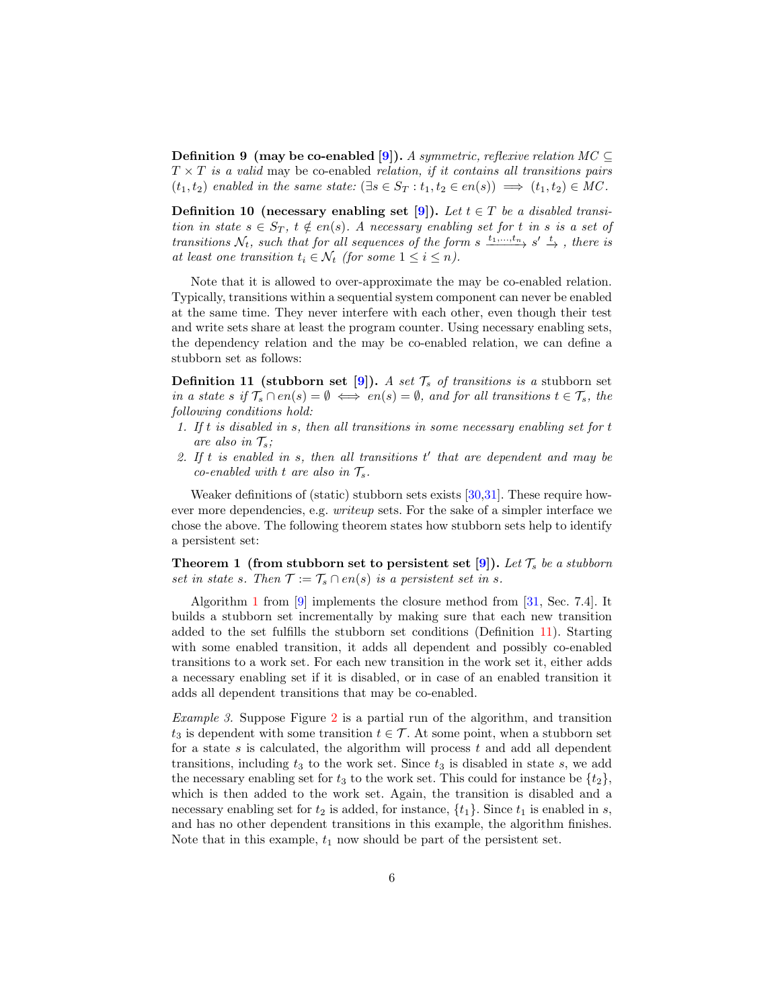**Definition 9** (may be co-enabled [\[9\]](#page-17-11)). A symmetric, reflexive relation  $MC \subseteq$  $T \times T$  is a valid may be co-enabled relation, if it contains all transitions pairs  $(t_1, t_2)$  enabled in the same state:  $(\exists s \in S_T : t_1, t_2 \in en(s)) \implies (t_1, t_2) \in MC$ .

<span id="page-5-1"></span>Definition 10 (necessary enabling set [\[9\]](#page-17-11)). Let  $t \in T$  be a disabled transition in state  $s \in S_T$ ,  $t \notin en(s)$ . A necessary enabling set for t in s is a set of transitions  $\mathcal{N}_t$ , such that for all sequences of the form s  $\frac{t_1,...,t_n}{\rightarrow} s' \frac{t}{\rightarrow}$ , there is at least one transition  $t_i \in \mathcal{N}_t$  (for some  $1 \leq i \leq n$ ).

Note that it is allowed to over-approximate the may be co-enabled relation. Typically, transitions within a sequential system component can never be enabled at the same time. They never interfere with each other, even though their test and write sets share at least the program counter. Using necessary enabling sets, the dependency relation and the may be co-enabled relation, we can define a stubborn set as follows:

<span id="page-5-0"></span>**Definition 11 (stubborn set [\[9\]](#page-17-11)).** A set  $\mathcal{T}_s$  of transitions is a stubborn set in a state s if  $\mathcal{T}_s \cap en(s) = \emptyset \iff en(s) = \emptyset$ , and for all transitions  $t \in \mathcal{T}_s$ , the following conditions hold:

- 1. If t is disabled in s, then all transitions in some necessary enabling set for t are also in  $\mathcal{T}_s$ ;
- 2. If  $t$  is enabled in  $s$ , then all transitions  $t'$  that are dependent and may be co-enabled with t are also in  $\mathcal{T}_s$ .

Weaker definitions of (static) stubborn sets exists [\[30,](#page-17-2)[31\]](#page-18-2). These require however more dependencies, e.g. writeup sets. For the sake of a simpler interface we chose the above. The following theorem states how stubborn sets help to identify a persistent set:

**Theorem 1** (from stubborn set to persistent set [\[9\]](#page-17-11)). Let  $\mathcal{T}_s$  be a stubborn set in state s. Then  $\mathcal{T} := \mathcal{T}_s \cap en(s)$  is a persistent set in s.

Algorithm [1](#page-6-1) from [\[9\]](#page-17-11) implements the closure method from [\[31,](#page-18-2) Sec. 7.4]. It builds a stubborn set incrementally by making sure that each new transition added to the set fulfills the stubborn set conditions (Definition [11\)](#page-5-0). Starting with some enabled transition, it adds all dependent and possibly co-enabled transitions to a work set. For each new transition in the work set it, either adds a necessary enabling set if it is disabled, or in case of an enabled transition it adds all dependent transitions that may be co-enabled.

Example 3. Suppose Figure [2](#page-4-0) is a partial run of the algorithm, and transition  $t_3$  is dependent with some transition  $t \in \mathcal{T}$ . At some point, when a stubborn set for a state s is calculated, the algorithm will process  $t$  and add all dependent transitions, including  $t_3$  to the work set. Since  $t_3$  is disabled in state s, we add the necessary enabling set for  $t_3$  to the work set. This could for instance be  $\{t_2\}$ , which is then added to the work set. Again, the transition is disabled and a necessary enabling set for  $t_2$  is added, for instance,  $\{t_1\}$ . Since  $t_1$  is enabled in s, and has no other dependent transitions in this example, the algorithm finishes. Note that in this example,  $t_1$  now should be part of the persistent set.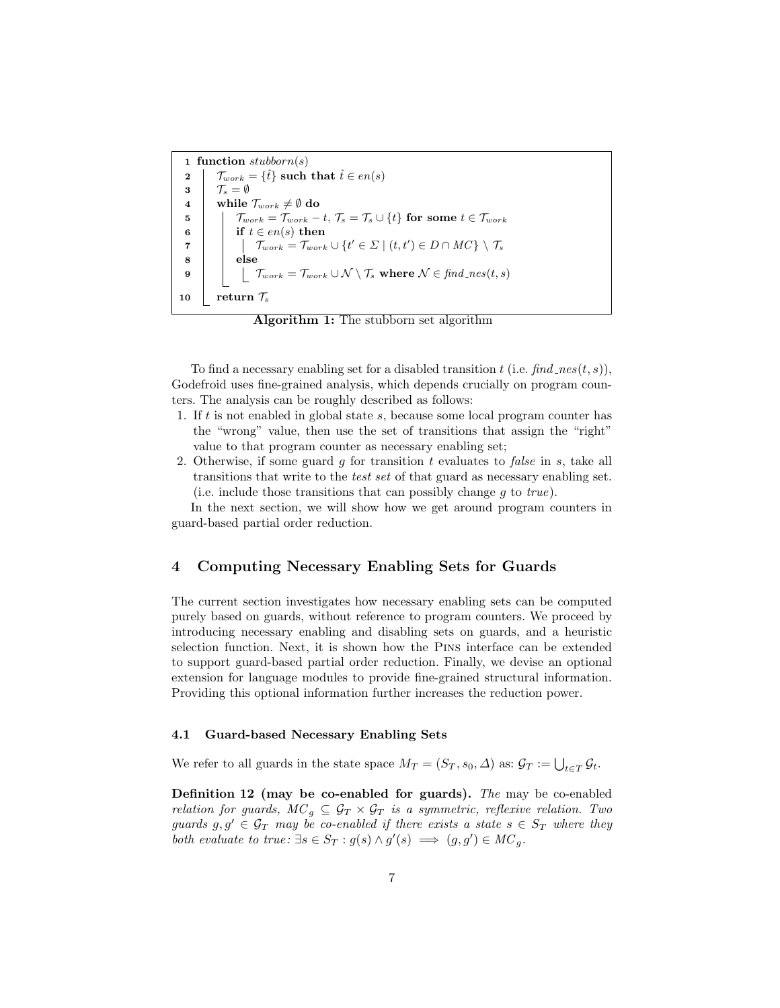<span id="page-6-3"></span>1 function  $\text{subborn}(s)$ 2  $\mathcal{T}_{work} = \{\hat{t}\}\$  such that  $\hat{t} \in en(s)$  $3 \mid \mathcal{T}_s = \emptyset$ 4 while  $\mathcal{T}_{work} \neq \emptyset$  do 5 Twork = Twork − t, T<sup>s</sup> = T<sup>s</sup> ∪ {t} for some t ∈ Twork  $\mathbf{6}$  | if  $t \in en(s)$  then  $\tau \quad | \quad \quad \mid \quad \mathcal{T}_{work} = \mathcal{T}_{work} \cup \{t' \in \mathit{\Sigma} \mid (t, t') \in D \cap MC\} \setminus \mathcal{T}_{s'}$ 8 | else  $\mathbf{9} \quad | \quad | \quad \mathcal{T}_{work} = \mathcal{T}_{work} \cup \mathcal{N} \setminus \mathcal{T}_{s} \text{ where } \mathcal{N} \in \textit{find\_nes}(t, s)$ 10 return  $\mathcal{T}_s$ 

<span id="page-6-1"></span>Algorithm 1: The stubborn set algorithm

To find a necessary enabling set for a disabled transition t (i.e.  $find\_nes(t, s)$ ), Godefroid uses fine-grained analysis, which depends crucially on program counters. The analysis can be roughly described as follows:

- 1. If t is not enabled in global state s, because some local program counter has the "wrong" value, then use the set of transitions that assign the "right" value to that program counter as necessary enabling set;
- 2. Otherwise, if some guard  $g$  for transition  $t$  evaluates to false in  $s$ , take all transitions that write to the test set of that guard as necessary enabling set. (i.e. include those transitions that can possibly change  $q$  to true).

In the next section, we will show how we get around program counters in guard-based partial order reduction.

### <span id="page-6-0"></span>4 Computing Necessary Enabling Sets for Guards

The current section investigates how necessary enabling sets can be computed purely based on guards, without reference to program counters. We proceed by introducing necessary enabling and disabling sets on guards, and a heuristic selection function. Next, it is shown how the Pins interface can be extended to support guard-based partial order reduction. Finally, we devise an optional extension for language modules to provide fine-grained structural information. Providing this optional information further increases the reduction power.

#### 4.1 Guard-based Necessary Enabling Sets

<span id="page-6-2"></span>We refer to all guards in the state space  $M_T = (S_T, s_0, \Delta)$  as:  $\mathcal{G}_T := \bigcup_{t \in T} \mathcal{G}_t$ .

Definition 12 (may be co-enabled for guards). The may be co-enabled relation for guards,  $MC_g \subseteq \mathcal{G}_T \times \mathcal{G}_T$  is a symmetric, reflexive relation. Two guards  $g, g' \in \mathcal{G}_T$  may be co-enabled if there exists a state  $s \in S_T$  where they both evaluate to true:  $\exists s \in S_T : g(s) \wedge g'(s) \implies (g, g') \in MC_g$ .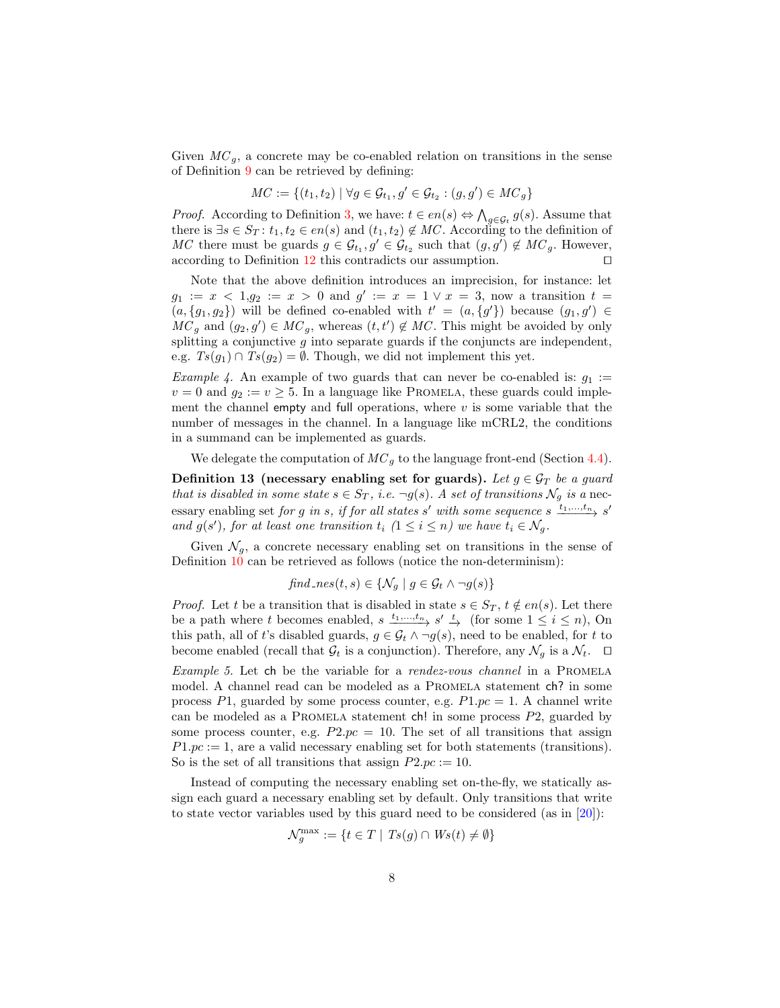Given  $MC_g$ , a concrete may be co-enabled relation on transitions in the sense of Definition [9](#page-4-2) can be retrieved by defining:

$$
MC := \{(t_1, t_2) \mid \forall g \in \mathcal{G}_{t_1}, g' \in \mathcal{G}_{t_2} : (g, g') \in MC_g\}
$$

*Proof.* According to Definition [3,](#page-2-0) we have:  $t \in en(s) \Leftrightarrow \bigwedge_{g \in \mathcal{G}_t} g(s)$ . Assume that there is  $\exists s \in S_T : t_1, t_2 \in en(s)$  and  $(t_1, t_2) \notin MC$ . According to the definition of MC there must be guards  $g \in \mathcal{G}_{t_1}, g' \in \mathcal{G}_{t_2}$  such that  $(g, g') \notin MC_g$ . However, according to Definition [12](#page-6-2) this contradicts our assumption.  $\Box$ 

Note that the above definition introduces an imprecision, for instance: let  $g_1 := x < 1, g_2 := x > 0$  and  $g' := x = 1 \vee x = 3$ , now a transition  $t =$  $(a, \{g_1, g_2\})$  will be defined co-enabled with  $t' = (a, \{g'\})$  because  $(g_1, g') \in$  $MC_g$  and  $(g_2, g') \in MC_g$ , whereas  $(t, t') \notin MC$ . This might be avoided by only splitting a conjunctive  $g$  into separate guards if the conjuncts are independent, e.g.  $Ts(g_1) \cap Ts(g_2) = \emptyset$ . Though, we did not implement this yet.

<span id="page-7-0"></span>*Example 4.* An example of two guards that can never be co-enabled is:  $g_1$  :=  $v = 0$  and  $g_2 := v \geq 5$ . In a language like PROMELA, these guards could implement the channel empty and full operations, where  $v$  is some variable that the number of messages in the channel. In a language like mCRL2, the conditions in a summand can be implemented as guards.

We delegate the computation of  $MC_q$  to the language front-end (Section [4.4\)](#page-9-0).

Definition 13 (necessary enabling set for guards). Let  $g \in \mathcal{G}_T$  be a guard that is disabled in some state  $s \in S_T$ , i.e.  $\neg g(s)$ . A set of transitions  $\mathcal{N}_g$  is a necessary enabling set for g in s, if for all states s' with some sequence s  $\xrightarrow{t_1,\ldots,t_n} s'$ and  $g(s')$ , for at least one transition  $t_i$   $(1 \leq i \leq n)$  we have  $t_i \in \mathcal{N}_g$ .

Given  $\mathcal{N}_q$ , a concrete necessary enabling set on transitions in the sense of Definition [10](#page-5-1) can be retrieved as follows (notice the non-determinism):

$$
find\_nes(t, s) \in \{ \mathcal{N}_g \mid g \in \mathcal{G}_t \land \neg g(s) \}
$$

*Proof.* Let t be a transition that is disabled in state  $s \in S_T$ ,  $t \notin en(s)$ . Let there be a path where t becomes enabled,  $s \xrightarrow{t_1,\dots,t_n} s' \xrightarrow{t}$  (for some  $1 \leq i \leq n$ ), On this path, all of t's disabled guards,  $g \in \mathcal{G}_t \land \neg g(s)$ , need to be enabled, for t to become enabled (recall that  $\mathcal{G}_t$  is a conjunction). Therefore, any  $\mathcal{N}_g$  is a  $\mathcal{N}_t$ .  $\Box$ 

<span id="page-7-1"></span>Example 5. Let ch be the variable for a rendez-vous channel in a PROMELA model. A channel read can be modeled as a PROMELA statement ch? in some process P1, guarded by some process counter, e.g.  $P1, pc = 1$ . A channel write can be modeled as a PROMELA statement  $\text{ch}$ ! in some process P2, guarded by some process counter, e.g.  $P2.pc = 10$ . The set of all transitions that assign  $P1.pc := 1$ , are a valid necessary enabling set for both statements (transitions). So is the set of all transitions that assign  $P2.pc := 10$ .

Instead of computing the necessary enabling set on-the-fly, we statically assign each guard a necessary enabling set by default. Only transitions that write to state vector variables used by this guard need to be considered (as in [\[20\]](#page-17-19)):

$$
\mathcal{N}_g^{\max} := \{ t \in T \mid \mathit{Ts}(g) \cap \mathit{Ws}(t) \neq \emptyset \}
$$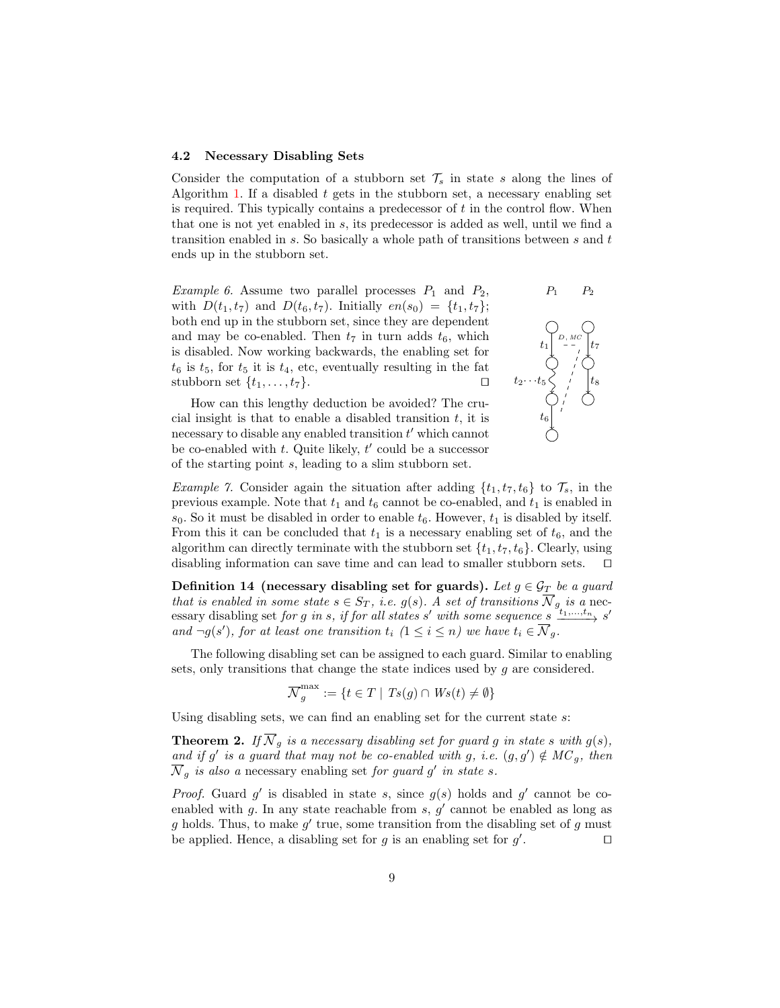#### <span id="page-8-0"></span>4.2 Necessary Disabling Sets

Consider the computation of a stubborn set  $\mathcal{T}_s$  in state s along the lines of Algorithm [1.](#page-6-1) If a disabled  $t$  gets in the stubborn set, a necessary enabling set is required. This typically contains a predecessor of  $t$  in the control flow. When that one is not yet enabled in s, its predecessor is added as well, until we find a transition enabled in s. So basically a whole path of transitions between s and t ends up in the stubborn set.

*Example 6.* Assume two parallel processes  $P_1$  and  $P_2$ , with  $D(t_1, t_7)$  and  $D(t_6, t_7)$ . Initially  $en(s_0) = \{t_1, t_7\};$ both end up in the stubborn set, since they are dependent and may be co-enabled. Then  $t_7$  in turn adds  $t_6$ , which is disabled. Now working backwards, the enabling set for  $t_6$  is  $t_5$ , for  $t_5$  it is  $t_4$ , etc, eventually resulting in the fat stubborn set  $\{t_1, \ldots, t_7\}$ .

How can this lengthy deduction be avoided? The crucial insight is that to enable a disabled transition  $t$ , it is necessary to disable any enabled transition  $t'$  which cannot be co-enabled with  $t$ . Quite likely,  $t'$  could be a successor of the starting point s, leading to a slim stubborn set.



<span id="page-8-1"></span>*Example 7.* Consider again the situation after adding  $\{t_1, t_7, t_6\}$  to  $\mathcal{T}_s$ , in the previous example. Note that  $t_1$  and  $t_6$  cannot be co-enabled, and  $t_1$  is enabled in  $s_0$ . So it must be disabled in order to enable  $t_6$ . However,  $t_1$  is disabled by itself. From this it can be concluded that  $t_1$  is a necessary enabling set of  $t_6$ , and the algorithm can directly terminate with the stubborn set  $\{t_1, t_7, t_6\}$ . Clearly, using disabling information can save time and can lead to smaller stubborn sets.  $\square$ 

Definition 14 (necessary disabling set for guards). Let  $g \in \mathcal{G}_T$  be a guard that is enabled in some state  $s \in S_T$ , i.e.  $g(s)$ . A set of transitions  $\overline{\mathcal{N}}_g$  is a necessary disabling set for g in s, if for all states s' with some sequence  $s \xrightarrow{t_1,\ldots,t_n} s'$ and  $\neg g(s')$ , for at least one transition  $t_i$   $(1 \leq i \leq n)$  we have  $t_i \in \overline{\mathcal{N}}_g$ .

The following disabling set can be assigned to each guard. Similar to enabling sets, only transitions that change the state indices used by g are considered.

$$
\overline{\mathcal{N}}_g^{\max} := \{ t \in T \mid \mathit{Ts}(g) \cap \mathit{Ws}(t) \neq \emptyset \}
$$

Using disabling sets, we can find an enabling set for the current state s:

**Theorem 2.** If  $\overline{\mathcal{N}}_g$  is a necessary disabling set for guard g in state s with  $g(s)$ , and if g' is a guard that may not be co-enabled with g, i.e.  $(g, g') \notin MC_g$ , then  $\overline{\mathcal{N}}_g$  is also a necessary enabling set for guard g' in state s.

*Proof.* Guard  $g'$  is disabled in state s, since  $g(s)$  holds and  $g'$  cannot be coenabled with  $g$ . In any state reachable from  $s, g'$  cannot be enabled as long as g holds. Thus, to make  $g'$  true, some transition from the disabling set of g must be applied. Hence, a disabling set for  $g$  is an enabling set for  $g'$ .  $\Box$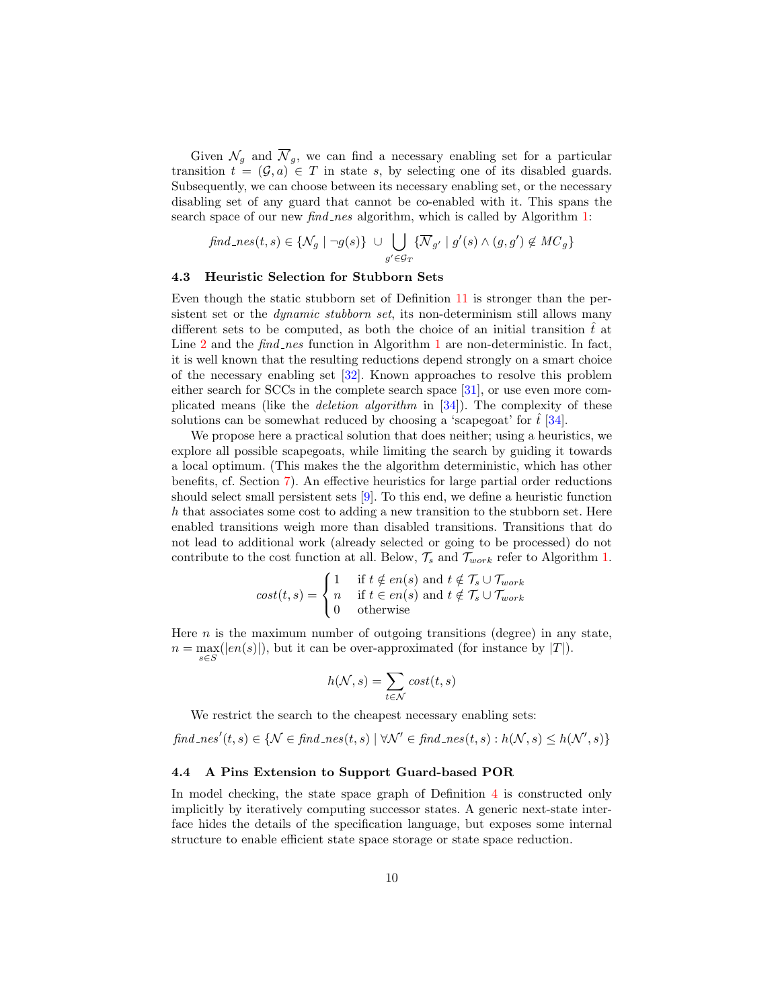Given  $\mathcal{N}_g$  and  $\overline{\mathcal{N}}_g$ , we can find a necessary enabling set for a particular transition  $t = (\mathcal{G}, a) \in T$  in state s, by selecting one of its disabled guards. Subsequently, we can choose between its necessary enabling set, or the necessary disabling set of any guard that cannot be co-enabled with it. This spans the search space of our new *find\_nes* algorithm, which is called by Algorithm [1:](#page-6-1)

$$
find\_nes(t,s) \in \{ \mathcal{N}_g \mid \neg g(s) \} \ \cup \bigcup_{g' \in \mathcal{G}_T} \{ \overline{\mathcal{N}}_{g'} \mid g'(s) \land (g,g') \notin \mathcal{M}C_g \}
$$

#### <span id="page-9-1"></span>4.3 Heuristic Selection for Stubborn Sets

Even though the static stubborn set of Definition [11](#page-5-0) is stronger than the persistent set or the *dynamic stubborn set*, its non-determinism still allows many different sets to be computed, as both the choice of an initial transition  $\hat{t}$  at Line [2](#page-6-3) and the  $find\_nes$  function in Algorithm [1](#page-6-1) are non-deterministic. In fact, it is well known that the resulting reductions depend strongly on a smart choice of the necessary enabling set [\[32\]](#page-18-1). Known approaches to resolve this problem either search for SCCs in the complete search space [\[31\]](#page-18-2), or use even more complicated means (like the *deletion algorithm* in  $[34]$ ). The complexity of these solutions can be somewhat reduced by choosing a 'scapegoat' for  $\hat{t}$  [\[34\]](#page-18-0).

We propose here a practical solution that does neither; using a heuristics, we explore all possible scapegoats, while limiting the search by guiding it towards a local optimum. (This makes the the algorithm deterministic, which has other benefits, cf. Section [7\)](#page-15-0). An effective heuristics for large partial order reductions should select small persistent sets [\[9\]](#page-17-11). To this end, we define a heuristic function h that associates some cost to adding a new transition to the stubborn set. Here enabled transitions weigh more than disabled transitions. Transitions that do not lead to additional work (already selected or going to be processed) do not contribute to the cost function at all. Below,  $\mathcal{T}_s$  and  $\mathcal{T}_{work}$  refer to Algorithm [1.](#page-6-1)

$$
cost(t,s) = \begin{cases} 1 & \text{if } t \notin en(s) \text{ and } t \notin \mathcal{T}_s \cup \mathcal{T}_{work} \\ n & \text{if } t \in en(s) \text{ and } t \notin \mathcal{T}_s \cup \mathcal{T}_{work} \\ 0 & \text{otherwise} \end{cases}
$$

Here  $n$  is the maximum number of outgoing transitions (degree) in any state,  $n = \max_{s \in S}(|en(s)|)$ , but it can be over-approximated (for instance by  $|T|$ ).

$$
h(\mathcal{N},s) = \sum_{t \in \mathcal{N}} cost(t,s)
$$

We restrict the search to the cheapest necessary enabling sets:

$$
find\_nes'(t,s) \in \{ \mathcal{N} \in \text{find\_nes}(t,s) \mid \forall \mathcal{N}' \in \text{find\_nes}(t,s) : h(\mathcal{N},s) \le h(\mathcal{N}',s) \}
$$

#### <span id="page-9-0"></span>4.4 A Pins Extension to Support Guard-based POR

In model checking, the state space graph of Definition [4](#page-2-1) is constructed only implicitly by iteratively computing successor states. A generic next-state interface hides the details of the specification language, but exposes some internal structure to enable efficient state space storage or state space reduction.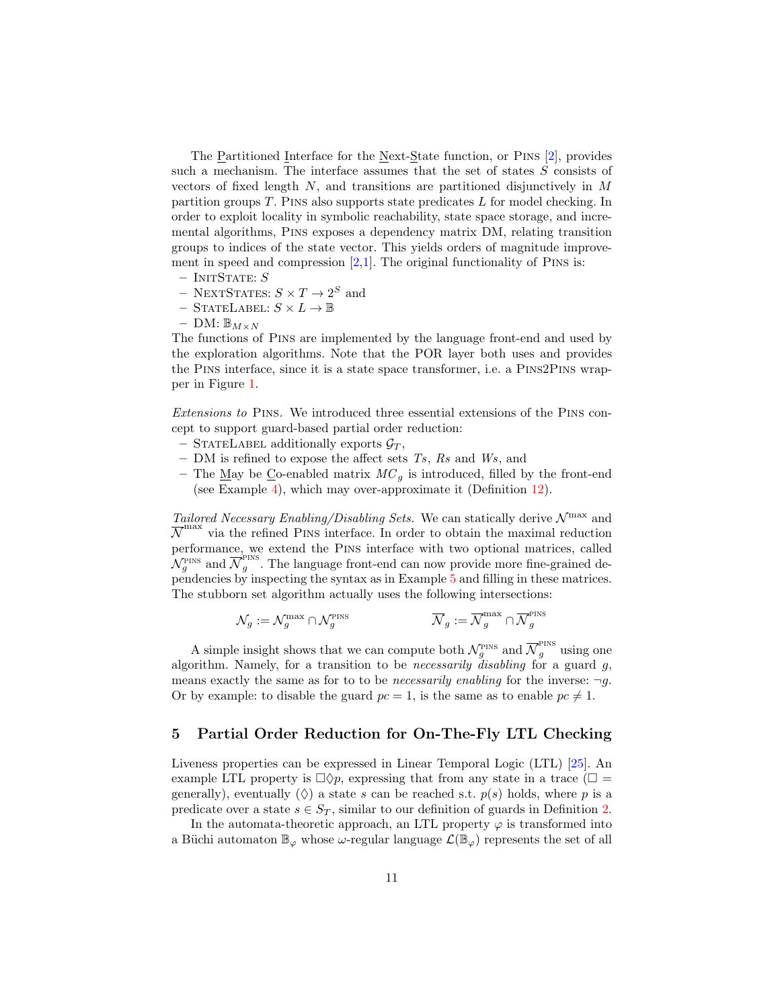The Partitioned Interface for the Next-State function, or Pins [\[2\]](#page-16-1), provides such a mechanism. The interface assumes that the set of states S consists of vectors of fixed length  $N$ , and transitions are partitioned disjunctively in  $M$ partition groups  $T$ . PINS also supports state predicates  $L$  for model checking. In order to exploit locality in symbolic reachability, state space storage, and incremental algorithms, Pins exposes a dependency matrix DM, relating transition groups to indices of the state vector. This yields orders of magnitude improvement in speed and compression  $[2,1]$  $[2,1]$ . The original functionality of PINS is:

- $-$  InitState:  $S$
- $-$  NEXTSTATES:  $S \times T \rightarrow 2^S$  and
- STATELABEL:  $S \times L \rightarrow \mathbb{B}$
- $-$  DM:  $\mathbb{B}_{M\times N}$

The functions of Pins are implemented by the language front-end and used by the exploration algorithms. Note that the POR layer both uses and provides the Pins interface, since it is a state space transformer, i.e. a Pins2Pins wrapper in Figure [1.](#page-1-0)

Extensions to Pins. We introduced three essential extensions of the Pins concept to support guard-based partial order reduction:

- STATELABEL additionally exports  $\mathcal{G}_T$ ,
- DM is refined to expose the affect sets  $Ts$ ,  $Rs$  and  $Ws$ , and
- The <u>May</u> be Co-enabled matrix  $MC<sub>g</sub>$  is introduced, filled by the front-end (see Example [4\)](#page-7-0), which may over-approximate it (Definition [12\)](#page-6-2).

Tailored Necessary Enabling/Disabling Sets. We can statically derive  $\mathcal{N}^{\max}$  and  $\overline{N}^{\text{max}}$  via the refined PINS interface. In order to obtain the maximal reduction performance, we extend the Pins interface with two optional matrices, called  $\mathcal{N}_g^{\text{PINS}}$  and  $\overline{\mathcal{N}}_g^{\text{PINS}}$  $\frac{q}{g}$ . The language front-end can now provide more fine-grained dependencies by inspecting the syntax as in Example [5](#page-7-1) and filling in these matrices. The stubborn set algorithm actually uses the following intersections:

$$
\mathcal{N}_g := \mathcal{N}_g^{\max} \cap \mathcal{N}_g^{\text{PINS}} \qquad \qquad \overline{\mathcal{N}}_g := \overline{\mathcal{N}}_g^{\max} \cap \overline{\mathcal{N}}_g^{\text{PINS}}
$$

A simple insight shows that we can compute both  $\mathcal{N}_g^{\text{PINS}}$  and  $\overline{\mathcal{N}}_g^{\text{PINS}}$  using one algorithm. Namely, for a transition to be *necessarily disabling* for a guard  $g$ , means exactly the same as for to to be *necessarily enabling* for the inverse:  $\neg q$ . Or by example: to disable the guard  $pc = 1$ , is the same as to enable  $pc \neq 1$ .

# <span id="page-10-0"></span>5 Partial Order Reduction for On-The-Fly LTL Checking

Liveness properties can be expressed in Linear Temporal Logic (LTL) [\[25\]](#page-17-20). An example LTL property is  $\Box \Diamond p$ , expressing that from any state in a trace ( $\Box$ ) generally), eventually  $(\Diamond)$  a state s can be reached s.t.  $p(s)$  holds, where p is a predicate over a state  $s \in S_T$ , similar to our definition of guards in Definition [2.](#page-2-2)

In the automata-theoretic approach, an LTL property  $\varphi$  is transformed into a Büchi automaton  $\mathbb{B}_{\varphi}$  whose  $\omega$ -regular language  $\mathcal{L}(\mathbb{B}_{\varphi})$  represents the set of all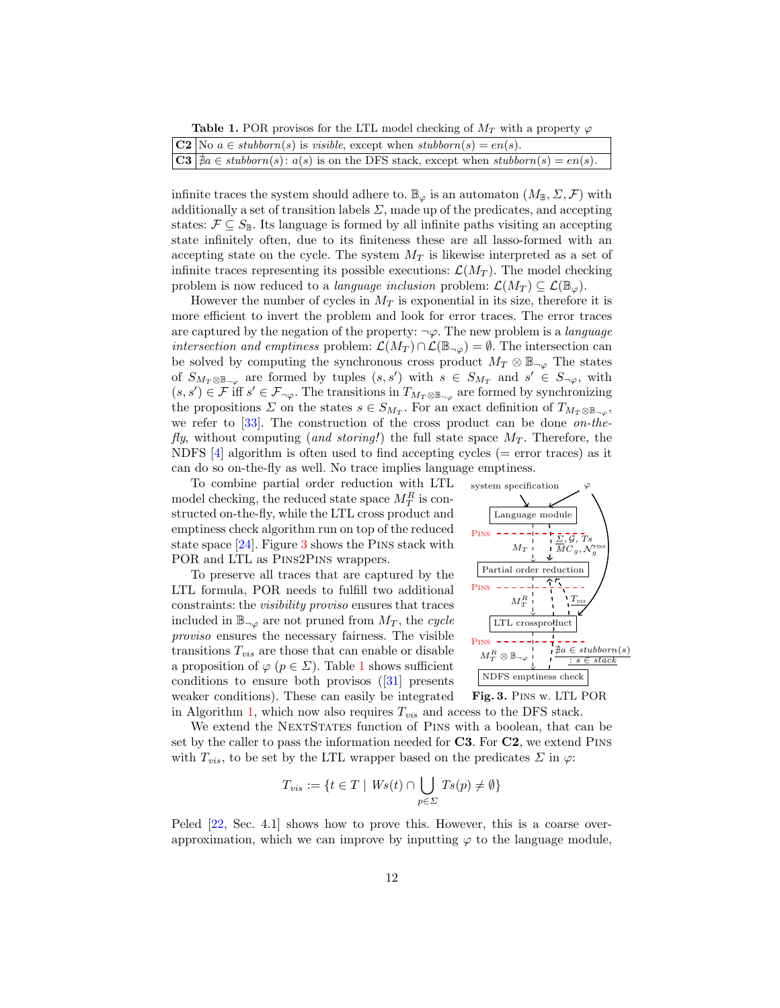<span id="page-11-1"></span>**Table 1.** POR provisos for the LTL model checking of  $M_T$  with a property  $\varphi$ 

| $\boxed{\mathbf{C2}}$ No $a \in \mathit{stubborn}(s)$ is <i>visible</i> , except when $\mathit{stubborn}(s) = en(s)$ .                |
|---------------------------------------------------------------------------------------------------------------------------------------|
| $\boxed{\mathbf{C3}}$ $ \nexists a \in \mathit{stubborn}(s) : a(s)$ is on the DFS stack, except when $\mathit{stubborn}(s) = en(s)$ . |

infinite traces the system should adhere to.  $\mathbb{B}_{\varphi}$  is an automaton  $(M_{\mathbb{B}}, \Sigma, \mathcal{F})$  with additionally a set of transition labels  $\Sigma$ , made up of the predicates, and accepting states:  $\mathcal{F} \subseteq S_{\mathbb{B}}$ . Its language is formed by all infinite paths visiting an accepting state infinitely often, due to its finiteness these are all lasso-formed with an accepting state on the cycle. The system  $M_T$  is likewise interpreted as a set of infinite traces representing its possible executions:  $\mathcal{L}(M_T)$ . The model checking problem is now reduced to a *language inclusion* problem:  $\mathcal{L}(M_T) \subseteq \mathcal{L}(\mathbb{B}_{\varphi})$ .

However the number of cycles in  $M_T$  is exponential in its size, therefore it is more efficient to invert the problem and look for error traces. The error traces are captured by the negation of the property:  $\neg \varphi$ . The new problem is a *language intersection and emptiness* problem:  $\mathcal{L}(M_T) \cap \mathcal{L}(\mathbb{B}_{\neg \varphi}) = \emptyset$ . The intersection can be solved by computing the synchronous cross product  $M_T \otimes \mathbb{B}_{\neg \varphi}$  The states of  $S_{M_T \otimes \mathbb{B}_{\neg \varphi}}$  are formed by tuples  $(s, s')$  with  $s \in S_{M_T}$  and  $s' \in S_{\neg \varphi}$ , with  $(s, s') \in \mathcal{F}$  iff  $s' \in \mathcal{F}_{\neg \varphi}$ . The transitions in  $T_{M_T \otimes \mathbb{B}_{\neg \varphi}}$  are formed by synchronizing the propositions  $\Sigma$  on the states  $s \in S_{M_T}$ . For an exact definition of  $T_{M_T \otimes \mathbb{B}_{\neg \varphi}},$ we refer to  $[33]$ . The construction of the cross product can be done *on-the*fly, without computing (and storing!) the full state space  $M_T$ . Therefore, the NDFS  $[4]$  algorithm is often used to find accepting cycles ( $=$  error traces) as it can do so on-the-fly as well. No trace implies language emptiness.

To combine partial order reduction with LTL model checking, the reduced state space  $M_T^R$  is constructed on-the-fly, while the LTL cross product and emptiness check algorithm run on top of the reduced state space [\[24\]](#page-17-8). Figure [3](#page-11-0) shows the Pins stack with POR and LTL as Pins2Pins wrappers.

To preserve all traces that are captured by the LTL formula, POR needs to fulfill two additional constraints: the visibility proviso ensures that traces included in  $\mathbb{B}_{\neg\varphi}$  are not pruned from  $M_T$ , the cycle proviso ensures the necessary fairness. The visible transitions  $T_{vis}$  are those that can enable or disable a proposition of  $\varphi$  ( $p \in \Sigma$ ). Table [1](#page-11-1) shows sufficient conditions to ensure both provisos ([\[31\]](#page-18-2) presents weaker conditions). These can easily be integrated in Algorithm [1,](#page-6-1) which now also requires  $T_{vis}$  and access to the DFS stack.



<span id="page-11-0"></span>

We extend the NEXTSTATES function of PINS with a boolean, that can be set by the caller to pass the information needed for  $C3$ . For  $C2$ , we extend PINS with  $T_{vis}$ , to be set by the LTL wrapper based on the predicates  $\Sigma$  in  $\varphi$ :

$$
T_{vis} := \{ t \in T \mid Ws(t) \cap \bigcup_{p \in \Sigma} Ts(p) \neq \emptyset \}
$$

Peled  $[22, Sec. 4.1]$  $[22, Sec. 4.1]$  shows how to prove this. However, this is a coarse overapproximation, which we can improve by inputting  $\varphi$  to the language module,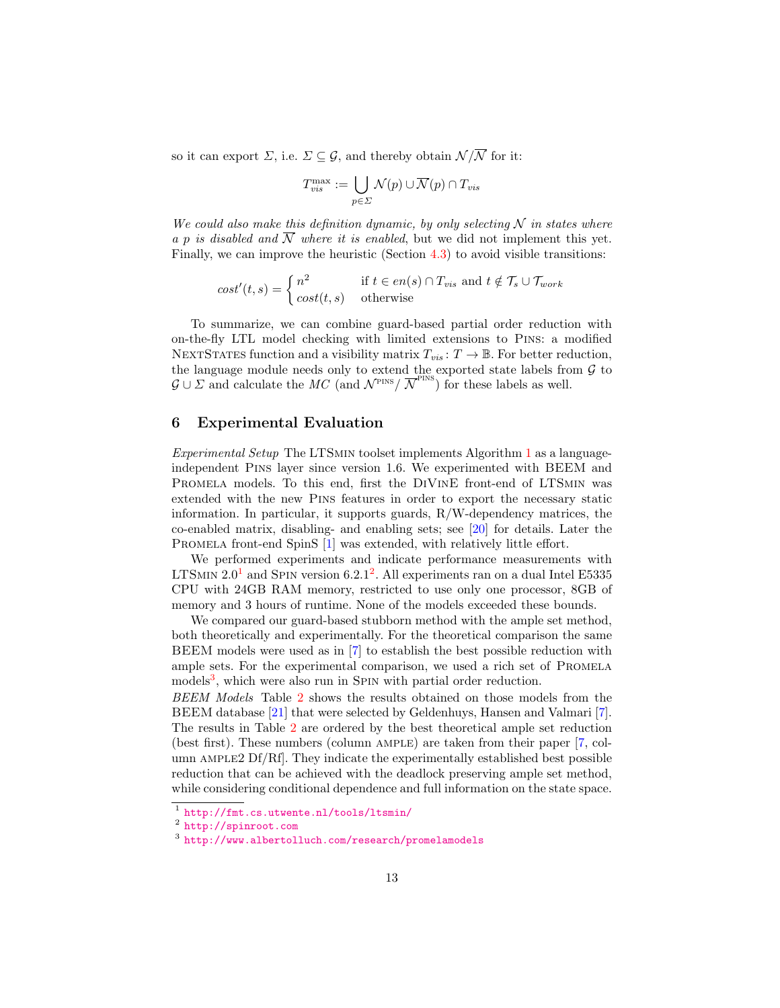so it can export  $\Sigma$ , i.e.  $\Sigma \subseteq \mathcal{G}$ , and thereby obtain  $\mathcal{N}/\overline{\mathcal{N}}$  for it:

$$
T_{vis}^{\max} := \bigcup_{p \in \Sigma} \mathcal{N}(p) \cup \overline{\mathcal{N}}(p) \cap T_{vis}
$$

We could also make this definition dynamic, by only selecting  $N$  in states where a p is disabled and  $\overline{N}$  where it is enabled, but we did not implement this yet. Finally, we can improve the heuristic (Section [4.3\)](#page-9-1) to avoid visible transitions:

$$
cost'(t,s) = \begin{cases} n^2 & \text{if } t \in en(s) \cap T_{vis} \text{ and } t \notin \mathcal{T}_s \cup \mathcal{T}_{work} \\ cost(t,s) & \text{otherwise} \end{cases}
$$

To summarize, we can combine guard-based partial order reduction with on-the-fly LTL model checking with limited extensions to Pins: a modified NEXTSTATES function and a visibility matrix  $T_{vis}$ :  $T \rightarrow \mathbb{B}$ . For better reduction, the language module needs only to extend the exported state labels from  $G$  to  $\mathcal{G} \cup \Sigma$  and calculate the MC (and  $\mathcal{N}^{\text{PINS}} / \overline{\mathcal{N}}^{\text{PINS}}$ ) for these labels as well.

### <span id="page-12-0"></span>6 Experimental Evaluation

Experimental Setup The LTSmin toolset implements Algorithm [1](#page-6-1) as a languageindependent Pins layer since version 1.6. We experimented with BEEM and Promela models. To this end, first the DiVinE front-end of LTSmin was extended with the new Pins features in order to export the necessary static information. In particular, it supports guards, R/W-dependency matrices, the co-enabled matrix, disabling- and enabling sets; see [\[20\]](#page-17-19) for details. Later the PROMELA front-end SpinS [\[1\]](#page-16-2) was extended, with relatively little effort.

We performed experiments and indicate performance measurements with LTSMIN  $2.0<sup>1</sup>$  $2.0<sup>1</sup>$  $2.0<sup>1</sup>$  and SPIN version 6.[2](#page-12-2).1<sup>2</sup>. All experiments ran on a dual Intel E5335 CPU with 24GB RAM memory, restricted to use only one processor, 8GB of memory and 3 hours of runtime. None of the models exceeded these bounds.

We compared our guard-based stubborn method with the ample set method, both theoretically and experimentally. For the theoretical comparison the same BEEM models were used as in [\[7\]](#page-17-18) to establish the best possible reduction with ample sets. For the experimental comparison, we used a rich set of PROMELA models<sup>[3](#page-12-3)</sup>, which were also run in SPIN with partial order reduction.

BEEM Models Table [2](#page-13-0) shows the results obtained on those models from the BEEM database [\[21\]](#page-17-16) that were selected by Geldenhuys, Hansen and Valmari [\[7\]](#page-17-18). The results in Table [2](#page-13-0) are ordered by the best theoretical ample set reduction (best first). These numbers (column ample) are taken from their paper [\[7,](#page-17-18) column AMPLE2  $\text{Df/Rf}$ . They indicate the experimentally established best possible reduction that can be achieved with the deadlock preserving ample set method, while considering conditional dependence and full information on the state space.

<span id="page-12-1"></span><sup>1</sup> <http://fmt.cs.utwente.nl/tools/ltsmin/>

<span id="page-12-2"></span><sup>&</sup>lt;sup>2</sup> <http://spinroot.com>

<span id="page-12-3"></span><sup>3</sup> <http://www.albertolluch.com/research/promelamodels>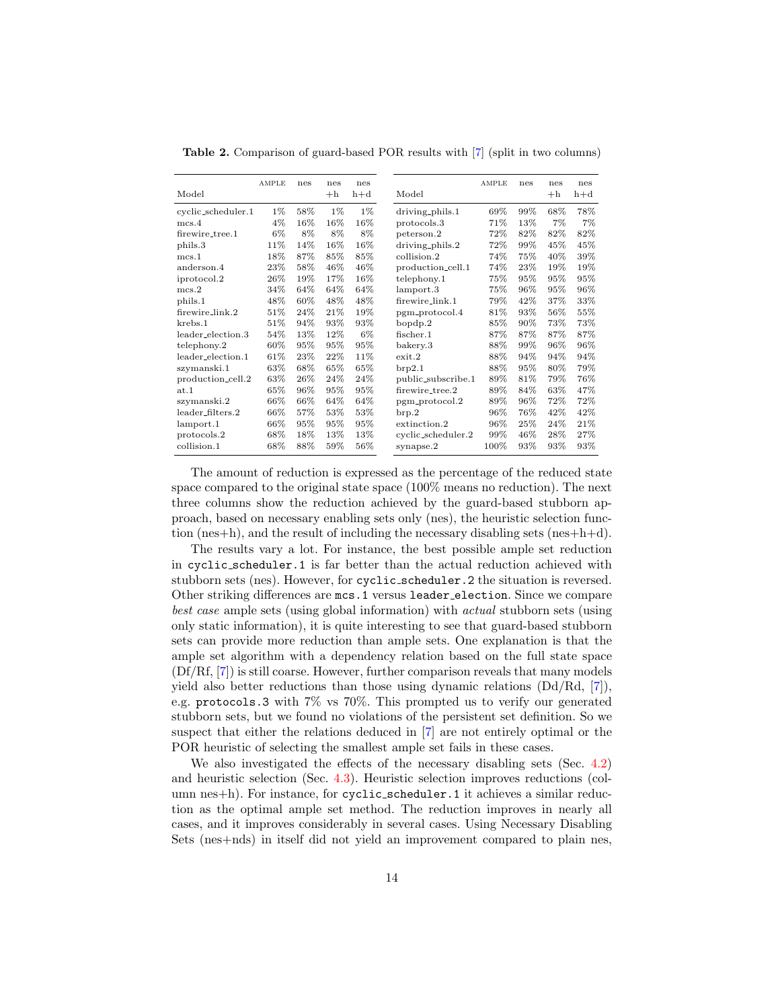| Model              | <b>AMPLE</b> | nes | nes<br>$+h$ | nes<br>$h+d$ |
|--------------------|--------------|-----|-------------|--------------|
| cyclic_scheduler.1 | $1\%$        | 58% | $1\%$       | 1%           |
| mcs.4              | 4%           | 16% | 16%         | 16%          |
| firewire_tree.1    | 6%           | 8%  | 8%          | 8%           |
| phils.3            | 11%          | 14% | 16%         | 16%          |
| mcs.1              | 18%          | 87% | 85%         | 85%          |
| anderson.4         | 23%          | 58% | 46%         | 46%          |
| iprotocol.2        | $26\%$       | 19% | 17%         | 16%          |
| mcs.2              | 34%          | 64% | 64%         | 64%          |
| phils.1            | 48%          | 60% | 48%         | 48%          |
| firewire_link.2    | 51%          | 24% | 21%         | 19%          |
| krebs.1            | 51%          | 94% | 93%         | 93%          |
| leader_election.3  | 54%          | 13% | 12%         | 6%           |
| telephony.2        | 60%          | 95% | 95%         | 95%          |
| leader_election.1  | 61\%         | 23% | 22%         | 11%          |
| szymanski.1        | 63%          | 68% | 65%         | 65%          |
| production_cell.2  | 63%          | 26% | 24%         | 24%          |
| at.1               | 65%          | 96% | 95%         | 95%          |
| szymanski.2        | 66%          | 66% | 64%         | 64%          |
| leader_filters.2   | 66%          | 57% | 53%         | 53%          |
| lamport.1          | 66%          | 95% | 95%         | 95%          |
| protocols.2        | 68%          | 18% | 13%         | 13%          |
| collision.1        | 68%          | 88% | 59%         | 56%          |

<span id="page-13-0"></span>Table 2. Comparison of guard-based POR results with [\[7\]](#page-17-18) (split in two columns)

The amount of reduction is expressed as the percentage of the reduced state space compared to the original state space (100% means no reduction). The next three columns show the reduction achieved by the guard-based stubborn approach, based on necessary enabling sets only (nes), the heuristic selection function (nes+h), and the result of including the necessary disabling sets (nes+h+d).

The results vary a lot. For instance, the best possible ample set reduction in cyclic scheduler.1 is far better than the actual reduction achieved with stubborn sets (nes). However, for cyclic scheduler.2 the situation is reversed. Other striking differences are mcs.1 versus leader election. Since we compare best case ample sets (using global information) with actual stubborn sets (using only static information), it is quite interesting to see that guard-based stubborn sets can provide more reduction than ample sets. One explanation is that the ample set algorithm with a dependency relation based on the full state space (Df/Rf, [\[7\]](#page-17-18)) is still coarse. However, further comparison reveals that many models yield also better reductions than those using dynamic relations (Dd/Rd, [\[7\]](#page-17-18)), e.g. protocols.3 with 7% vs 70%. This prompted us to verify our generated stubborn sets, but we found no violations of the persistent set definition. So we suspect that either the relations deduced in [\[7\]](#page-17-18) are not entirely optimal or the POR heuristic of selecting the smallest ample set fails in these cases.

We also investigated the effects of the necessary disabling sets (Sec. [4.2\)](#page-8-0) and heuristic selection (Sec. [4.3\)](#page-9-1). Heuristic selection improves reductions (column nes+h). For instance, for cyclic scheduler.1 it achieves a similar reduction as the optimal ample set method. The reduction improves in nearly all cases, and it improves considerably in several cases. Using Necessary Disabling Sets (nes+nds) in itself did not yield an improvement compared to plain nes,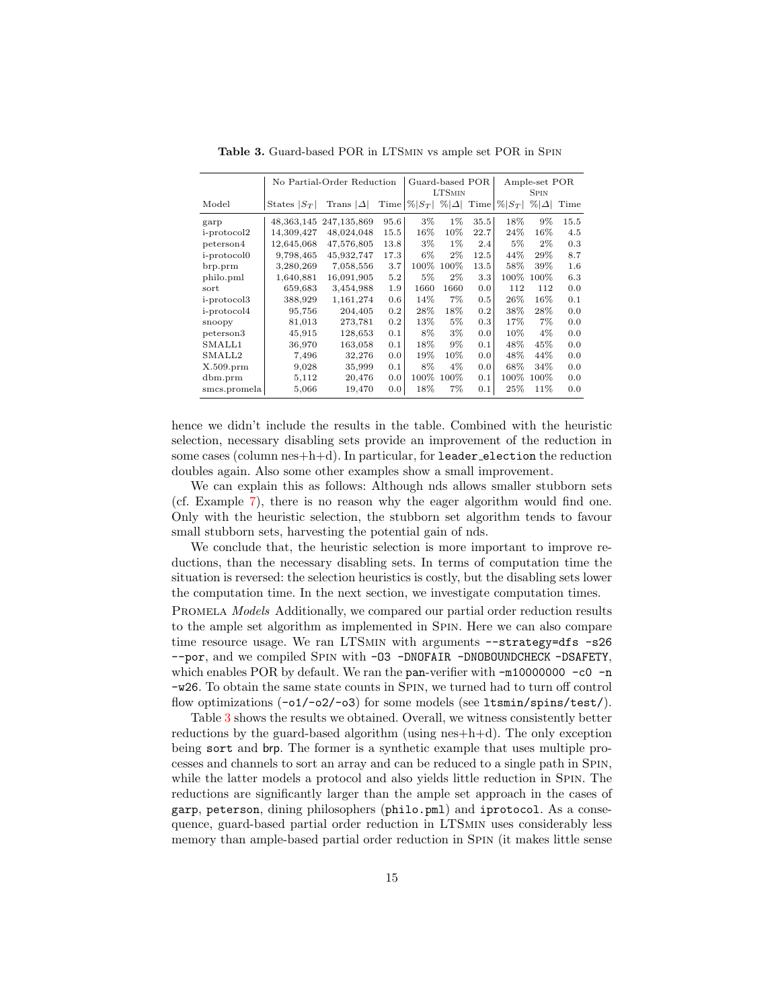|                     |                | No Partial-Order Reduction |      | Guard-based POR              |        |             | Ample-set POR |              |      |  |
|---------------------|----------------|----------------------------|------|------------------------------|--------|-------------|---------------|--------------|------|--|
|                     |                |                            |      | <b>LTSMIN</b>                |        | <b>SPIN</b> |               |              |      |  |
| Model               | States $ S_T $ | Trans $ \Delta $           |      | Time $ \% S_T $ % $ \Delta $ |        | Time        | $ \% S_T $    | $\% \Delta $ | Time |  |
| garp                | 48, 363, 145   | 247,135,869                | 95.6 | $3\%$                        | $1\%$  | 35.5        | 18%           | $9\%$        | 15.5 |  |
| i-protocol2         | 14,309,427     | 48,024,048                 | 15.5 | $16\%$                       | $10\%$ | 22.7        | 24%           | 16%          | 4.5  |  |
| peterson4           | 12,645,068     | 47,576,805                 | 13.8 | $3\%$                        | $1\%$  | 2.4         | 5%            | $2\%$        | 0.3  |  |
| <i>i</i> -protocol0 | 9,798,465      | 45,932,747                 | 17.3 | 6%                           | $2\%$  | 12.5        | 44%           | 29%          | 8.7  |  |
| brp.prm             | 3,280,269      | 7,058,556                  | 3.7  | 100%                         | 100%   | 13.5        | 58%           | 39%          | 1.6  |  |
| philo.pml           | 1,640,881      | 16,091,905                 | 5.2  | 5%                           | $2\%$  | 3.3         | $100\%$       | 100%         | 6.3  |  |
| sort                | 659,683        | 3,454,988                  | 1.9  | 1660                         | 1660   | 0.0         | 112           | 112          | 0.0  |  |
| <i>i</i> -protocol3 | 388,929        | 1,161,274                  | 0.6  | 14%                          | $7\%$  | 0.5         | 26%           | 16%          | 0.1  |  |
| i-protocol4         | 95,756         | 204,405                    | 0.2  | 28%                          | 18%    | 0.2         | 38%           | 28%          | 0.0  |  |
| snoopy              | 81,013         | 273,781                    | 0.2  | 13%                          | $5\%$  | 0.3         | 17%           | 7%           | 0.0  |  |
| peterson3           | 45,915         | 128,653                    | 0.1  | 8%                           | $3\%$  | 0.0         | 10%           | $4\%$        | 0.0  |  |
| SMALL1              | 36,970         | 163,058                    | 0.1  | 18%                          | $9\%$  | 0.1         | 48%           | 45%          | 0.0  |  |
| SMALL2              | 7,496          | 32,276                     | 0.0  | 19%                          | 10%    | 0.0         | 48%           | 44%          | 0.0  |  |
| $X.509.$ prm        | 9,028          | 35,999                     | 0.1  | 8%                           | $4\%$  | 0.0         | 68%           | 34%          | 0.0  |  |
| dbm.prm             | 5,112          | 20,476                     | 0.0  | 100%                         | 100%   | 0.1         | $100\%$       | 100%         | 0.0  |  |
| smcs.promela        | 5,066          | 19,470                     | 0.0  | 18%                          | 7%     | 0.1         | 25%           | 11%          | 0.0  |  |

<span id="page-14-0"></span>Table 3. Guard-based POR in LTSmin vs ample set POR in Spin

hence we didn't include the results in the table. Combined with the heuristic selection, necessary disabling sets provide an improvement of the reduction in some cases (column nes+h+d). In particular, for leader election the reduction doubles again. Also some other examples show a small improvement.

We can explain this as follows: Although nds allows smaller stubborn sets (cf. Example [7\)](#page-8-1), there is no reason why the eager algorithm would find one. Only with the heuristic selection, the stubborn set algorithm tends to favour small stubborn sets, harvesting the potential gain of nds.

We conclude that, the heuristic selection is more important to improve reductions, than the necessary disabling sets. In terms of computation time the situation is reversed: the selection heuristics is costly, but the disabling sets lower the computation time. In the next section, we investigate computation times.

PROMELA *Models* Additionally, we compared our partial order reduction results to the ample set algorithm as implemented in Spin. Here we can also compare time resource usage. We ran LTSMIN with arguments --strategy=dfs -s26 --por, and we compiled Spin with -O3 -DNOFAIR -DNOBOUNDCHECK -DSAFETY, which enables POR by default. We ran the pan-verifier with  $-m10000000 -c0 -n$ -w26. To obtain the same state counts in Spin, we turned had to turn off control flow optimizations  $(-01/-02/-03)$  for some models (see ltsmin/spins/test/).

Table [3](#page-14-0) shows the results we obtained. Overall, we witness consistently better reductions by the guard-based algorithm (using  $nes+h+d$ ). The only exception being sort and brp. The former is a synthetic example that uses multiple processes and channels to sort an array and can be reduced to a single path in Spin, while the latter models a protocol and also yields little reduction in SPIN. The reductions are significantly larger than the ample set approach in the cases of garp, peterson, dining philosophers (philo.pml) and iprotocol. As a consequence, guard-based partial order reduction in LTSmin uses considerably less memory than ample-based partial order reduction in Spin (it makes little sense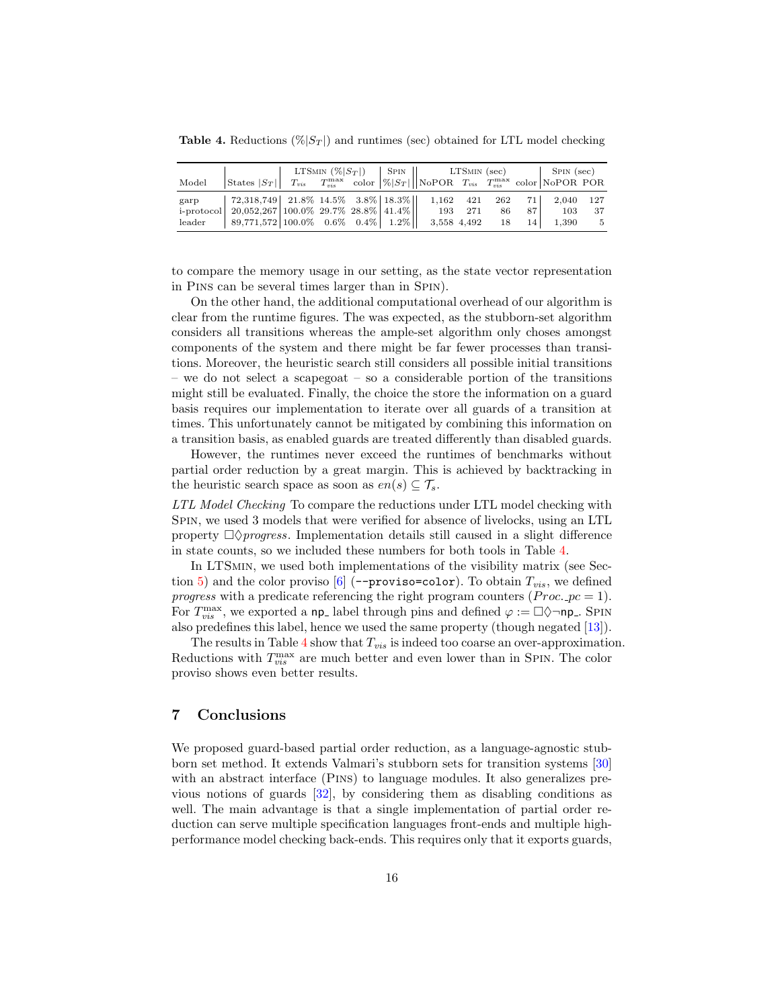<span id="page-15-1"></span>**Table 4.** Reductions  $(\% |S_T|)$  and runtimes (sec) obtained for LTL model checking

|        |                                                                                               | LTSMIN $(\% S_T )$   SPIN    LTSMIN (sec) |  |  |         |  | $\vert$ SPIN (sec) |                 |       |     |
|--------|-----------------------------------------------------------------------------------------------|-------------------------------------------|--|--|---------|--|--------------------|-----------------|-------|-----|
| Model  | States $ S_T $ $T_{vis}$ $T_{vis}$ color $ \% S_T $ NoPOR $T_{vis}$ $T_{vis}$ color NoPOR POR |                                           |  |  |         |  |                    |                 |       |     |
| garp   | 72,318,749   21.8% 14.5% 3.8%   18.3%   1,162 421 262                                         |                                           |  |  |         |  |                    | 71 l            | 2,040 | 127 |
|        | i-protocol   20,052,267   100.0% 29.7% 28.8%   41.4%                                          |                                           |  |  | 193 271 |  | 86                 | 87 I            | 103   | 37  |
| leader | $89,771,572$ 100.0% 0.6% 0.4% 1.2%   3,558 4,492                                              |                                           |  |  |         |  | - 18               | 14 <sup>1</sup> | 1.390 | - 5 |

to compare the memory usage in our setting, as the state vector representation in Pins can be several times larger than in Spin).

On the other hand, the additional computational overhead of our algorithm is clear from the runtime figures. The was expected, as the stubborn-set algorithm considers all transitions whereas the ample-set algorithm only choses amongst components of the system and there might be far fewer processes than transitions. Moreover, the heuristic search still considers all possible initial transitions – we do not select a scapegoat – so a considerable portion of the transitions might still be evaluated. Finally, the choice the store the information on a guard basis requires our implementation to iterate over all guards of a transition at times. This unfortunately cannot be mitigated by combining this information on a transition basis, as enabled guards are treated differently than disabled guards.

However, the runtimes never exceed the runtimes of benchmarks without partial order reduction by a great margin. This is achieved by backtracking in the heuristic search space as soon as  $en(s) \subseteq \mathcal{T}_s$ .

LTL Model Checking To compare the reductions under LTL model checking with Spin, we used 3 models that were verified for absence of livelocks, using an LTL property  $\Box \Diamond progress$ . Implementation details still caused in a slight difference in state counts, so we included these numbers for both tools in Table [4.](#page-15-1)

In LTSMIN, we used both implementations of the visibility matrix (see Sec-tion [5\)](#page-10-0) and the color proviso  $[6]$  (--proviso=color). To obtain  $T_{vis}$ , we defined progress with a predicate referencing the right program counters ( $Proc._{pc} = 1$ ). For  $T_{vis}^{\max}$ , we exported a np<sub>-</sub> label through pins and defined  $\varphi := \Box \Diamond \neg$ np<sub>-</sub>. Spin also predefines this label, hence we used the same property (though negated [\[13\]](#page-17-17)).

The results in Table  $4$  show that  $T_{vis}$  is indeed too coarse an over-approximation. Reductions with  $T_{vis}^{\max}$  are much better and even lower than in SPIN. The color proviso shows even better results.

# <span id="page-15-0"></span>7 Conclusions

We proposed guard-based partial order reduction, as a language-agnostic stubborn set method. It extends Valmari's stubborn sets for transition systems [\[30\]](#page-17-2) with an abstract interface (Pins) to language modules. It also generalizes previous notions of guards [\[32\]](#page-18-1), by considering them as disabling conditions as well. The main advantage is that a single implementation of partial order reduction can serve multiple specification languages front-ends and multiple highperformance model checking back-ends. This requires only that it exports guards,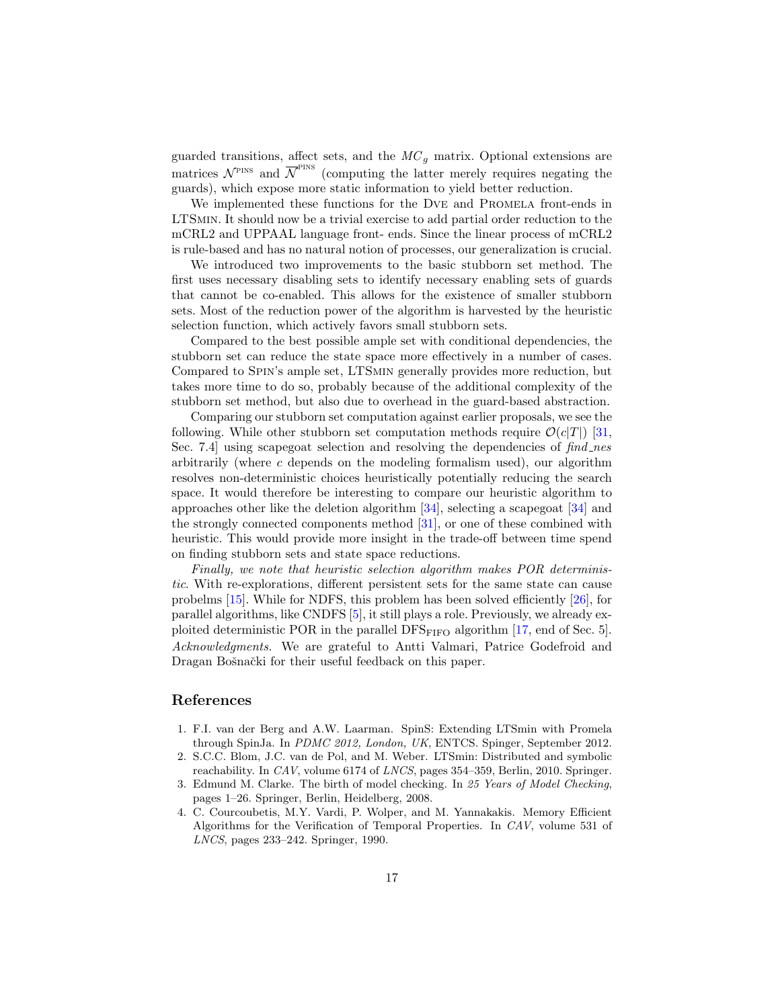guarded transitions, affect sets, and the  $MC<sub>g</sub>$  matrix. Optional extensions are matrices  $\mathcal{N}^{\text{PINS}}$  and  $\overline{\mathcal{N}}^{\text{PINS}}$  (computing the latter merely requires negating the guards), which expose more static information to yield better reduction.

We implemented these functions for the DVE and PROMELA front-ends in LTSmin. It should now be a trivial exercise to add partial order reduction to the mCRL2 and UPPAAL language front- ends. Since the linear process of mCRL2 is rule-based and has no natural notion of processes, our generalization is crucial.

We introduced two improvements to the basic stubborn set method. The first uses necessary disabling sets to identify necessary enabling sets of guards that cannot be co-enabled. This allows for the existence of smaller stubborn sets. Most of the reduction power of the algorithm is harvested by the heuristic selection function, which actively favors small stubborn sets.

Compared to the best possible ample set with conditional dependencies, the stubborn set can reduce the state space more effectively in a number of cases. Compared to Spin's ample set, LTSmin generally provides more reduction, but takes more time to do so, probably because of the additional complexity of the stubborn set method, but also due to overhead in the guard-based abstraction.

Comparing our stubborn set computation against earlier proposals, we see the following. While other stubborn set computation methods require  $\mathcal{O}(c|T|)$  [\[31,](#page-18-2) Sec. 7.4 using scapegoat selection and resolving the dependencies of  $find\_nes$ arbitrarily (where  $c$  depends on the modeling formalism used), our algorithm resolves non-deterministic choices heuristically potentially reducing the search space. It would therefore be interesting to compare our heuristic algorithm to approaches other like the deletion algorithm [\[34\]](#page-18-0), selecting a scapegoat [\[34\]](#page-18-0) and the strongly connected components method [\[31\]](#page-18-2), or one of these combined with heuristic. This would provide more insight in the trade-off between time spend on finding stubborn sets and state space reductions.

Finally, we note that heuristic selection algorithm makes POR deterministic. With re-explorations, different persistent sets for the same state can cause probelms [\[15\]](#page-17-22). While for NDFS, this problem has been solved efficiently [\[26\]](#page-17-23), for parallel algorithms, like CNDFS [\[5\]](#page-17-24), it still plays a role. Previously, we already exploited deterministic POR in the parallel  $\text{DFS}_{\text{FIFO}}$  algorithm [\[17,](#page-17-25) end of Sec. 5]. Acknowledgments. We are grateful to Antti Valmari, Patrice Godefroid and Dragan Bošnački for their useful feedback on this paper.

### References

- <span id="page-16-2"></span>1. F.I. van der Berg and A.W. Laarman. SpinS: Extending LTSmin with Promela through SpinJa. In PDMC 2012, London, UK, ENTCS. Spinger, September 2012.
- <span id="page-16-1"></span>2. S.C.C. Blom, J.C. van de Pol, and M. Weber. LTSmin: Distributed and symbolic reachability. In CAV, volume 6174 of LNCS, pages 354–359, Berlin, 2010. Springer.
- <span id="page-16-0"></span>3. Edmund M. Clarke. The birth of model checking. In 25 Years of Model Checking, pages 1–26. Springer, Berlin, Heidelberg, 2008.
- <span id="page-16-3"></span>4. C. Courcoubetis, M.Y. Vardi, P. Wolper, and M. Yannakakis. Memory Efficient Algorithms for the Verification of Temporal Properties. In CAV, volume 531 of LNCS, pages 233–242. Springer, 1990.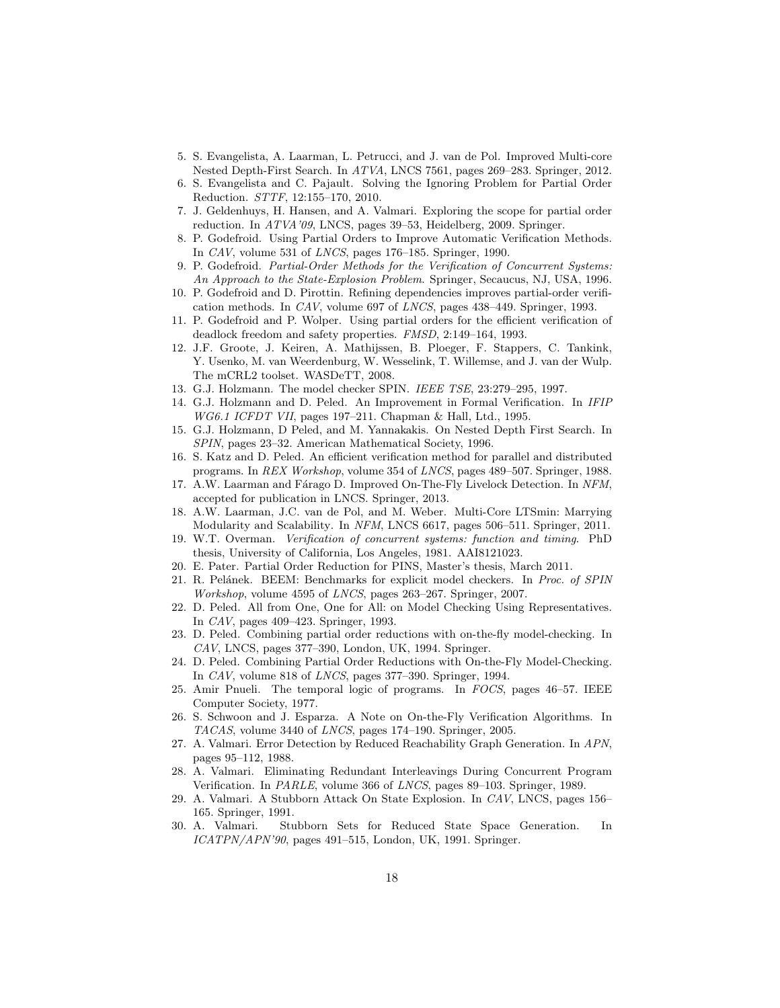- <span id="page-17-24"></span>5. S. Evangelista, A. Laarman, L. Petrucci, and J. van de Pol. Improved Multi-core Nested Depth-First Search. In ATVA, LNCS 7561, pages 269–283. Springer, 2012.
- <span id="page-17-21"></span>6. S. Evangelista and C. Pajault. Solving the Ignoring Problem for Partial Order Reduction. STTF, 12:155–170, 2010.
- <span id="page-17-18"></span>7. J. Geldenhuys, H. Hansen, and A. Valmari. Exploring the scope for partial order reduction. In ATVA'09, LNCS, pages 39–53, Heidelberg, 2009. Springer.
- <span id="page-17-9"></span>8. P. Godefroid. Using Partial Orders to Improve Automatic Verification Methods. In CAV, volume 531 of LNCS, pages 176–185. Springer, 1990.
- <span id="page-17-11"></span>9. P. Godefroid. Partial-Order Methods for the Verification of Concurrent Systems: An Approach to the State-Explosion Problem. Springer, Secaucus, NJ, USA, 1996.
- <span id="page-17-10"></span>10. P. Godefroid and D. Pirottin. Refining dependencies improves partial-order verification methods. In CAV, volume 697 of LNCS, pages 438–449. Springer, 1993.
- <span id="page-17-12"></span>11. P. Godefroid and P. Wolper. Using partial orders for the efficient verification of deadlock freedom and safety properties. FMSD, 2:149–164, 1993.
- <span id="page-17-13"></span>12. J.F. Groote, J. Keiren, A. Mathijssen, B. Ploeger, F. Stappers, C. Tankink, Y. Usenko, M. van Weerdenburg, W. Wesselink, T. Willemse, and J. van der Wulp. The mCRL2 toolset. WASDeTT, 2008.
- <span id="page-17-17"></span>13. G.J. Holzmann. The model checker SPIN. IEEE TSE, 23:279–295, 1997.
- <span id="page-17-7"></span>14. G.J. Holzmann and D. Peled. An Improvement in Formal Verification. In IFIP WG6.1 ICFDT VII, pages 197–211. Chapman & Hall, Ltd., 1995.
- <span id="page-17-22"></span>15. G.J. Holzmann, D Peled, and M. Yannakakis. On Nested Depth First Search. In SPIN, pages 23–32. American Mathematical Society, 1996.
- <span id="page-17-4"></span>16. S. Katz and D. Peled. An efficient verification method for parallel and distributed programs. In REX Workshop, volume 354 of LNCS, pages 489–507. Springer, 1988.
- <span id="page-17-25"></span>17. A.W. Laarman and Fárago D. Improved On-The-Fly Livelock Detection. In NFM, accepted for publication in LNCS. Springer, 2013.
- <span id="page-17-15"></span>18. A.W. Laarman, J.C. van de Pol, and M. Weber. Multi-Core LTSmin: Marrying Modularity and Scalability. In NFM, LNCS 6617, pages 506–511. Springer, 2011.
- <span id="page-17-0"></span>19. W.T. Overman. Verification of concurrent systems: function and timing. PhD thesis, University of California, Los Angeles, 1981. AAI8121023.
- <span id="page-17-19"></span>20. E. Pater. Partial Order Reduction for PINS, Master's thesis, March 2011.
- <span id="page-17-16"></span>21. R. Pelánek. BEEM: Benchmarks for explicit model checkers. In Proc. of SPIN Workshop, volume 4595 of LNCS, pages 263–267. Springer, 2007.
- <span id="page-17-5"></span>22. D. Peled. All from One, One for All: on Model Checking Using Representatives. In CAV, pages 409–423. Springer, 1993.
- <span id="page-17-6"></span>23. D. Peled. Combining partial order reductions with on-the-fly model-checking. In CAV, LNCS, pages 377–390, London, UK, 1994. Springer.
- <span id="page-17-8"></span>24. D. Peled. Combining Partial Order Reductions with On-the-Fly Model-Checking. In CAV, volume 818 of LNCS, pages 377–390. Springer, 1994.
- <span id="page-17-20"></span>25. Amir Pnueli. The temporal logic of programs. In FOCS, pages 46–57. IEEE Computer Society, 1977.
- <span id="page-17-23"></span>26. S. Schwoon and J. Esparza. A Note on On-the-Fly Verification Algorithms. In TACAS, volume 3440 of LNCS, pages 174–190. Springer, 2005.
- <span id="page-17-1"></span>27. A. Valmari. Error Detection by Reduced Reachability Graph Generation. In APN, pages 95–112, 1988.
- <span id="page-17-14"></span>28. A. Valmari. Eliminating Redundant Interleavings During Concurrent Program Verification. In PARLE, volume 366 of LNCS, pages 89–103. Springer, 1989.
- <span id="page-17-3"></span>29. A. Valmari. A Stubborn Attack On State Explosion. In CAV, LNCS, pages 156– 165. Springer, 1991.
- <span id="page-17-2"></span>30. A. Valmari. Stubborn Sets for Reduced State Space Generation. In  $ICATPN/APN'90$ , pages 491–515, London, UK, 1991. Springer.